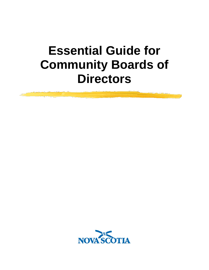

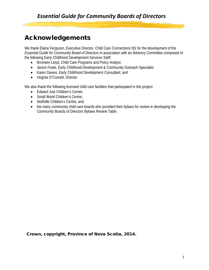## Acknowledgements

We thank Elaine Ferguson, Executive Director, Child Care Connections NS for the development of the *Essential Guide for Community Board of Directors* in association with an Advisory Committee composed of the following Early Childhood Development Services Staff:

- Bronwen Lloyd, Child Care Programs and Policy Analyst
- Janice Foote, Early Childhood Development & Community Outreach Specialist
- Karen Davies, Early Childhood Development Consultant; and
- Virginia O'Connell, Director

We also thank the following licensed child care facilities that participated in this project:

- Edward Jost Children's Centre;
- Small World Children's Centre:
- Wolfville Children's Centre; and
- the many community child care boards who provided their bylaws for review in developing the Community Boards of Directors Bylaws Review Table.

Crown, copyright, Province of Nova Scotia, 2014.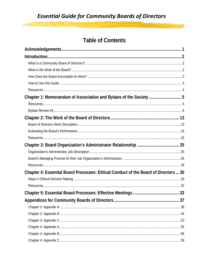## **Table of Contents**

| Chapter 1: Memorandum of Association and Bylaws of the Society 5                    |  |
|-------------------------------------------------------------------------------------|--|
|                                                                                     |  |
|                                                                                     |  |
|                                                                                     |  |
|                                                                                     |  |
|                                                                                     |  |
|                                                                                     |  |
|                                                                                     |  |
|                                                                                     |  |
|                                                                                     |  |
|                                                                                     |  |
| Chapter 4: Essential Board Processes: Ethical Conduct of the Board of Directors  30 |  |
|                                                                                     |  |
|                                                                                     |  |
|                                                                                     |  |
|                                                                                     |  |
|                                                                                     |  |
|                                                                                     |  |
|                                                                                     |  |
|                                                                                     |  |
|                                                                                     |  |
|                                                                                     |  |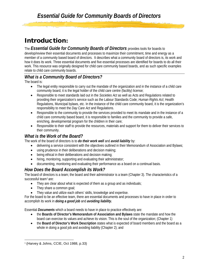## Introduction:

The *Essential Guide for Community Boards of Directors* provides tools for boards to

develop/review their essential documents and processes to maximize their commitment, time and energy as a member of a community based board of directors. It describes what a community board of directors is, its work and how it does its work. Three essential documents and five essential processes are identified for boards to do all their work. This resource was originally designed for child care community based boards, and as such specific examples relate to child care community boards.

## *What is a Community Board of Directors?*

The board is:

- The legal entity responsible to carry out the mandate of the organization and in the instance of a child care community board, it is the legal holder of the child care centre (facility) license;
- Responsible to meet standards laid out in the *Societies Act* as well as Acts and Regulations related to providing their organization's service such as the Labour Standards Code; *Human Rights Act*; Health Regulations, Municipal bylaws, etc. In the instance of the child care community board, it is the organization's responsibility to meet the *Day Care Act* and Regulations.
- Responsible to the community to provide the services provided to meet its mandate and in the instance of a child care community based board, it is responsible to families and the community to provide a safe, enriching, developmental program for the children in their care;
- Responsible to their staff to provide the resources, materials and support for them to deliver their services to their community.

## *What is the Work of the Board?*

The work of the board of directors is to *do their work well* and *avoid liability* by:

- delivering a service consistent with the objectives outlined in their Memorandum of Association and Bylaws;
- using prudence in their deliberations and decision making;
- being ethical in their deliberations and decision making;
- hiring, monitoring, supporting and evaluating their administrator;
- documenting, monitoring and evaluating their performance as a board on a continual basis.

## *How Does the Board Accomplish its Work?*

The board of directors is a team; the board and their administrator is a team (Chapter 3). The characteristics of a successful team<sup>[1](#page-3-0)</sup> are:

- They are clear about what is expected of them as a group and as individuals;
- They share a common goal;
- They value and utilize each others' skills, knowledge and expertise.

For the board to be an effective team, there are essential documents and processes to have in place in order to accomplish its work in *doing a good job* and *avoiding liability.*

Essential *Documents* which a board needs to have in place to practice effectively are:

- the **Boards of Director's Memorandum of Association and Bylaws** state the mandate and how the board can exercise its values and achieve its vision. This is the soul of the organization; (Chapter 1)
- the **Board of Director's Work Description** states what is expected of board members and the board as a whole in doing a good job and avoiding liability (Chapter 2); and

<span id="page-3-0"></span>l <sup>1</sup> (Harvey & Johns, CCIE, Oct 1988, p.33)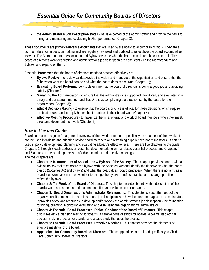• the **Administrator's Job Description** states what is expected of the administrator and provide the basis for hiring, and monitoring and evaluating his/her performance (Chapter 3).

These documents are primary reference documents that are used by the board to accomplish its work. They are a point of reference in decision making and are regularly reviewed and updated to reflect how the board accomplishes its work. The Memorandum of Association and Bylaws describe what the board can do and how it can do it. The board of director's work description and administrator's job description are consistent with the Memorandum and Bylaws, and expand on them.

Essential **Processes** that the board of directors needs to practice effectively are:

- **Bylaws Review**  to review/validate/revise the vision and mandate of the organization and ensure that the fit between what the board can do and what the board does is accurate (Chapter 1);
- **Evaluating Board Performance** to determine that the board of directors is doing a good job and avoiding liability (Chapter 2);
- **Managing the Administrator** to ensure that the administrator is supported, monitored, and evaluated in a timely and transparent manner and that s/he is accomplishing the direction set by the board for the organization (Chapter 3);
- **Ethical Decision Making** to ensure that the board's practice is ethical for those decisions which require the best answer and to apply honest best practices in their board work (Chapter 4);
- **Effective Meeting Procedure** to maximize the time, energy and work of board members when they meet, direct and document their work (Chapter 5).

## *How to Use this Guide:*

Boards can use this guide for a general overview of their work or to focus specifically on an aspect of their work. It can be used in training and orienting novice board members and refreshing experienced board members. It can be used in policy development, planning and evaluating a board's effectiveness. There are five chapters to the guide. Chapters 1 through 3 each address an essential document along with a related essential process, and Chapters 4 and 5 address the essential processes of ethical conduct and effective meetings. The five chapters are:

- **Chapter 1: Memorandum of Association & Bylaws of the Society.** This chapter provides boards with a bylaws review tool to compare the bylaws with the *Societies Act* and identify the fit between what the board can do (*Societies Act* and bylaws) and what the board does (board practices). When there is not a fit, as a board, decisions are made on whether to change the bylaws to reflect practice or to change practice to reflect the bylaws.
- **Chapter 2: The Work of the Board of Directors**. This chapter provides boards with a description of the board's work, and a means to document, monitor and evaluate its performance.
- **Chapter 3: Board Organization's Administrator Relationship.** This chapter is about the heart of the organization. It combines the administrator's job description with how the board manages the administrator. It provides a tool and resources to develop and/or review the administrator's job description - the foundation for hiring, orienting, monitoring evaluating and dismissing the organization's administrator.
- **Chapter 4: Essential Board Processes: Ethical Conduct of the Board of Directors.** This chapter discusses ethical decision making for boards; a sample code of ethics for boards; a twelve step ethical decision making process for boards; and a case study that uses the process.
- **Chapter 5: Essential Board Processes: Effective Meetings**. This chapter provides the elements of effective meetings of the board.
- **Appendices for Community Boards of Directors.** These appendices are related specifically to Child Care Community Boards of Directors.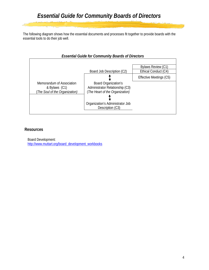The following diagram shows how the essential documents and processes fit together to provide boards with the essential tools to do their job well.

| <b>Essential Guide for Community Boards of Directors</b>                     |                                                                                                                                                                                  |                                                                       |  |  |  |  |  |
|------------------------------------------------------------------------------|----------------------------------------------------------------------------------------------------------------------------------------------------------------------------------|-----------------------------------------------------------------------|--|--|--|--|--|
| Memorandum of Association<br>& Bylaws (C1)<br>(The Soul of the Organization) | Board Job Description (C2)<br>Board Organization's<br>Administrator Relationship (C3)<br>(The Heart of the Organization)<br>Organization's Administrator Job<br>Description (C3) | Bylaws Review (C1)<br>Ethical Conduct (C4)<br>Effective Meetings (C5) |  |  |  |  |  |
|                                                                              |                                                                                                                                                                                  |                                                                       |  |  |  |  |  |

## **Resources**

Board Development: [http://www.muttart.org/board\\_development\\_workbooks](http://www.muttart.org/board_development_workbooks)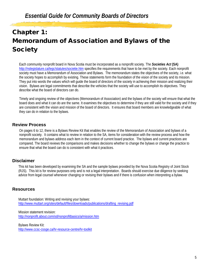# Chapter 1: Memorandum of Association and Bylaws of the **Society**

Each community nonprofit board in Nova Scotia must be incorporated as a nonprofit society. The *Societies Act* **(SA)**  <http://nslegislature.ca/legc/statutes/societie.htm> specifies the requirements that have to be met by the society. Each nonprofit society must have a Memorandum of Association and Bylaws. The memorandum states the objectives of the society, i.e. what the society hopes to accomplish by existing. These statements form the foundation of the vision of the society and its mission. They put into words the values which will guide the board of directors of the society in achieving their mission and realizing their vision. Bylaws are legal commitments that describe the vehicles that the society will use to accomplish its objectives. They describe what the board of directors can do.

Timely and ongoing review of the objectives (Memorandum of Association) and the bylaws of the society will ensure that what the board does and what it can do are the same. It examines the objectives to determine if they are still valid for the society and if they are consistent with the vision and mission of the board of directors. It ensures that board members are knowledgeable of what they can do in relation to the bylaws.

## **Review Process**

On pages 6 to 12, there is a Bylaws Review Kit that enables the review of the Memorandum of Association and bylaws of a nonprofit society. It contains what to review in relation to the SA, items for consideration with the review process and how the memorandum and bylaws address each item in the context of current board practice. The bylaws and current practices are compared. The board reviews the comparisons and makes decisions whether to change the bylaws or change the practice to ensure that what the board can do is consistent with what it practices.

## **Disclaimer**

This kit has been developed by examining the SA and the sample bylaws provided by the Nova Scotia Registry of Joint Stock (RJS). This kit is for review purposes only and is not a legal interpretation. Boards should exercise due diligence by seeking advice from legal counsel whenever changing or revising their bylaws and if there is confusion when interpreting a bylaw.

## **Resources**

Muttart foundation: Writing and revising your bylaws: [http://www.muttart.org/sites/default/files/downloads/publications/drafting\\_revising.pdf](http://www.muttart.org/sites/default/files/downloads/publications/drafting_revising.pdf)

Mission statement revision: <http://nonprofit.about.com/od/nonprofitbasics/a/mission.htm>

Bylaws Review Kit: <http://www.ccsc-cssge.ca/hr-resource-centre/hr-toolkit>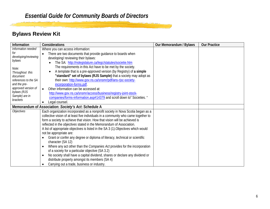## **Bylaws Review Kit**

| Information                | Considerations                                                                           | Our Memorandum / Bylaws | <b>Our Practice</b> |
|----------------------------|------------------------------------------------------------------------------------------|-------------------------|---------------------|
| Information needed         | Where you can access information:                                                        |                         |                     |
| for                        | There are two documents that provide guidance to boards when<br>$\bullet$                |                         |                     |
| developing/reviewing       | developing/reviewing their bylaws:                                                       |                         |                     |
| bylaws                     | The SA: http://nslegislature.ca/legc/statutes/societie.htm                               |                         |                     |
| Note:                      | The requirements in this Act have to be met by the society.                              |                         |                     |
| Throughout this            | A template that is a pre-approved version (by Registry) of a simple<br>$\bullet$         |                         |                     |
| document                   | "standard" set of bylaws (RJS Sample) that a society may adopt as                        |                         |                     |
| references to the SA       | their own: http://www.gov.ns.ca/snsmr/pdf/ans-rjsc-society-                              |                         |                     |
| and the pre-               | incorporation-forms.pdf.                                                                 |                         |                     |
| approved version of        | Other information can be accessed at:<br>$\bullet$                                       |                         |                     |
| bylaws (RJS                | http://www.gov.ns.ca/snsmr/access/business/registry-joint-stock-                         |                         |                     |
| Sample) are in<br>brackets | companies/forms-information.asp#14379 and scroll down to" Societies. "                   |                         |                     |
|                            | Legal counsel.                                                                           |                         |                     |
|                            | Memorandum of Association: Society's Act: Schedule A                                     |                         |                     |
| <b>Objectives</b>          | Each organization incorporated as a nonprofit society in Nova Scotia began as a          |                         |                     |
|                            | collective vision of at least five individuals in a community who came together to       |                         |                     |
|                            | form a society to achieve that vision. How that vision will be achieved is               |                         |                     |
|                            | reflected in the <i>objectives</i> stated in the Memorandum of Association.              |                         |                     |
|                            | A list of appropriate objectives is listed in the SA 3 (1). Objectives which would       |                         |                     |
|                            | not be appropriate are:                                                                  |                         |                     |
|                            | Grant or confer any degree or diploma of literacy, technical or scientific               |                         |                     |
|                            | character (SA 12)                                                                        |                         |                     |
|                            | Where any act other than the <i>Companies Act</i> provides for the incorporation         |                         |                     |
|                            | of a society for a particular objective (SA 3.2)                                         |                         |                     |
|                            | No society shall have a capital dividend, shares or declare any dividend or<br>$\bullet$ |                         |                     |
|                            | distribute property amongst its members (SA 4)                                           |                         |                     |
|                            | Carrying out a trade, business or industry.<br>٠                                         |                         |                     |

يتهججون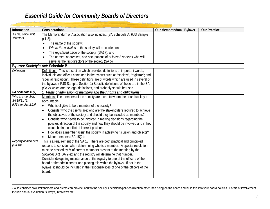| Information         | Considerations                                                                          | Our Memorandum / Bylaws | <b>Our Practice</b> |
|---------------------|-----------------------------------------------------------------------------------------|-------------------------|---------------------|
| Name, office, first | The Memorandum of Association also includes: (SA Schedule A; RJS Sample                 |                         |                     |
| directors           | $p.1-2$ :                                                                               |                         |                     |
|                     | The name of the society;                                                                |                         |                     |
|                     | Where the activities of the society will be carried on                                  |                         |                     |
|                     | The registered office of the society (SA17); and<br>$\bullet$                           |                         |                     |
|                     | The names, addresses, and occupations of at least 5 persons who will                    |                         |                     |
|                     | serve as the first directors of the society (SA 5).                                     |                         |                     |
|                     | Bylaws: Society's Act: Schedule B                                                       |                         |                     |
| <b>Definitions</b>  | Definitions: This is a section which provides definitions of important words,           |                         |                     |
|                     | individuals and offices contained in the bylaws such as "society", "registrar"; and     |                         |                     |
|                     | "special resolution". These definitions are of words which are used in several of       |                         |                     |
|                     | the bylaws. (RJS Sample, Section 1) Specific definitions of these are in the SA         |                         |                     |
|                     | (SA 2) which are the legal definitions, and probably should be used.                    |                         |                     |
| SA Schedule B (1)   | 1. Terms of admission of members and their rights and obligations:                      |                         |                     |
| Who is a member:    | Members: The members of the society are those to whom the board/society is              |                         |                     |
| SA $15(1)$ ; (2)    | accountable:                                                                            |                         |                     |
| RJS samples 2;5;6   | Who is eligible to be a member of the society?<br>$\bullet$                             |                         |                     |
|                     | Consider who the clients are; who are the stakeholders required to achieve<br>$\bullet$ |                         |                     |
|                     | the objectives of the society and should they be included as members?                   |                         |                     |
|                     | Consider who needs to be involved in making decisions regarding the<br>$\bullet$        |                         |                     |
|                     | policies/ direction of the society and how they should be involved and if they          |                         |                     |
|                     | would be in a conflict of interest position.                                            |                         |                     |
|                     | How does a member assist the society in achieving its vision and objects?<br>$\bullet$  |                         |                     |
|                     | Minor members (SA 15(2)).                                                               |                         |                     |
| Registry of members | This is a requirement of the SA 18. There are both practical and principled             |                         |                     |
| (SA 18)             | reasons to consider when determining who is a member. A special resolution              |                         |                     |
|                     | must be passed by 34 of current members present at the meeting by the                   |                         |                     |
|                     | Societies Act (SA 2(e)) and the registry will determine that number.                    |                         |                     |
|                     | Consider delegating maintenance of the registry to one of the officers of the           |                         |                     |
|                     | board or the administrator and placing this within the bylaws. If not in the            |                         |                     |
|                     | bylaws, it should be included in the responsibilities of one of the officers of the     |                         |                     |
|                     | board.                                                                                  |                         |                     |
|                     |                                                                                         |                         |                     |

<span id="page-8-0"></span><u>i segu</u>

 $\overline{\phantom{a}}$ <sup>1</sup> Also consider how stakeholders and clients can provide input to the society's decisions/policies/direction other than being on the board and build this into your board policies. Forms of involvement include annual evaluation, surveys, interviews etc.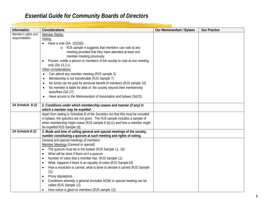فاشتصوا تسمنهما

| Information                              | Considerations                                                                                                                                                                                                                                                                                                                                                                                                                                                                                                                                                                                                                                                                                       | Our Memorandum / Bylaws | <b>Our Practice</b> |
|------------------------------------------|------------------------------------------------------------------------------------------------------------------------------------------------------------------------------------------------------------------------------------------------------------------------------------------------------------------------------------------------------------------------------------------------------------------------------------------------------------------------------------------------------------------------------------------------------------------------------------------------------------------------------------------------------------------------------------------------------|-------------------------|---------------------|
| Member's rights and<br>responsibilities: | Member Rights:<br>Voting:<br>Have a vote $(SA 15(2)(b)$ -<br>o RJS sample 4 suggests that members can vote at any<br>meeting provided that they have attended at least one<br>member meeting previously.<br>Proxies entitle a person or members of the society to vote at one meeting<br>$\bullet$<br>only (SA 15.2.c)<br>Other considerations:<br>Can attend any member meeting (RJS sample 3)<br>Membership is not transferable (RJS Sample 7)<br>No funds can be paid for personal benefit of members (RJS sample 10)<br>No member is liable for debt of the society beyond their membership<br>dues/fees (SA 27)<br>Have access to the Memorandum of Association and bylaws (SA23).<br>$\bullet$ |                         |                     |
| SA Schedule B (2)                        | 2. Conditions under which membership ceases and manner (if any) in<br>which a member may be expelled<br>Apart from stating in Schedule B of the Societies Act that this must be included<br>in bylaws, the specifics are not given. The RJS sample includes a sample of<br>when membership might cease (RJS sample 8 (a)-(c) and how a member might<br>be expelled RJS Sample (d).                                                                                                                                                                                                                                                                                                                   |                         |                     |
| SA Schedule B (3)                        | 3. Mode and time of calling general and special meetings of the society,<br>number constituting a quorum at such meeting and rights of voting.                                                                                                                                                                                                                                                                                                                                                                                                                                                                                                                                                       |                         |                     |
|                                          | General and special meetings of members:<br>Member Meetings (General or special):<br>The quorum must be in the bylaws (RJS Sample 11, 16)<br>$\bullet$<br>What will be done if there isn't a quorum<br>$\bullet$<br>Number of votes that a member has (RJS Sample 11)<br>$\bullet$<br>What happens if there is an equality of votes (RJS Sample19)<br>$\bullet$<br>How a resolution is carried, what is done to declare it carried (RJS Sample<br>$\bullet$<br>21)<br>Proxy stipulations<br>$\bullet$<br>Conditions whereby a general (includes AGM) or special meeting can be<br>called (RJS Sample 12)<br>How notice is given to members (RJS sample 13).                                          |                         |                     |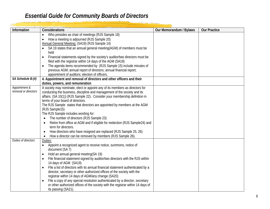ونفشتهم والتهيب تصبيحه

| Information          | Considerations                                                                            | Our Memorandum / Bylaws | <b>Our Practice</b> |
|----------------------|-------------------------------------------------------------------------------------------|-------------------------|---------------------|
|                      | Who presides as chair of meetings (RJS Sample 18)<br>$\bullet$                            |                         |                     |
|                      | How a meeting is adjourned (RJS Sample 20)                                                |                         |                     |
|                      | Annual General Meeting: (SA19) (RJS Sample 14)                                            |                         |                     |
|                      | SA 19 states that an annual general meeting(AGM) of members must be                       |                         |                     |
|                      | held                                                                                      |                         |                     |
|                      | Financial statements signed by the society's auditor/two directors must be<br>$\bullet$   |                         |                     |
|                      | filed with the registrar within 14 days of the AGM (SA19)                                 |                         |                     |
|                      | The agenda items recommended by (RJS Sample 15) include minutes of<br>$\bullet$           |                         |                     |
|                      | previous AGM; annual report of directors; annual financial report;                        |                         |                     |
|                      | appointment of auditors; election of officers.                                            |                         |                     |
| SA Schedule B:(4)    | 4. Appointment and removal of directors and other officers and their                      |                         |                     |
|                      | duties, powers, and remuneration                                                          |                         |                     |
| Appointment &        | A society may nominate, elect or appoint any of its members as directors for              |                         |                     |
| removal or directors | conducting the business, discipline and management of the society and its                 |                         |                     |
|                      | affairs. (SA 10(1)) (RJS Sample 22). Consider your membership definition in               |                         |                     |
|                      | terms of your board of directors.                                                         |                         |                     |
|                      | The RJS Sample states that directors are appointed by members at the AGM                  |                         |                     |
|                      | (RJS Sample15)<br>The RJS Sample includes wording for:                                    |                         |                     |
|                      | The number of directors (RJS Sample 23)                                                   |                         |                     |
|                      | Retire from office at AGM and if eligible for reelection (RJS Sample24) and               |                         |                     |
|                      | term for directors.                                                                       |                         |                     |
|                      | How directors who have resigned are replaced (RJS Sample 25, 26)<br>$\bullet$             |                         |                     |
|                      | How a director can be removed by members (RJS Sample 26).                                 |                         |                     |
| Duties of directors  | Duties:                                                                                   |                         |                     |
|                      | Appoint a recognized agent to receive notice, summons, notice of                          |                         |                     |
|                      | document (SA 7)                                                                           |                         |                     |
|                      | Hold an annual general meeting (SA 19)<br>$\bullet$                                       |                         |                     |
|                      | File financial statement signed by auditor/two directors with the RJS within<br>$\bullet$ |                         |                     |
|                      | 14 days of AGM (SA19)                                                                     |                         |                     |
|                      | File a list of directors with its annual financial statement authenticated by a           |                         |                     |
|                      | director, secretary or other authorized offices of the society with the                   |                         |                     |
|                      | registrar within 14 days of AGM/any change (SA20)                                         |                         |                     |
|                      | File a copy of any special resolution authenticated by a director, secretary<br>$\bullet$ |                         |                     |
|                      | or other authorized offices of the society with the registrar within 14 days of           |                         |                     |
|                      | its passing (SA21).                                                                       |                         |                     |

<u>ari ni nga</u>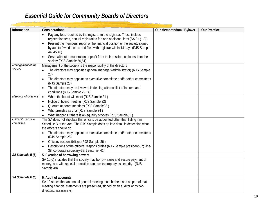وندت وواحيته متحدد

| Information           | Considerations                                                                                                                                | Our Memorandum / Bylaws | <b>Our Practice</b> |
|-----------------------|-----------------------------------------------------------------------------------------------------------------------------------------------|-------------------------|---------------------|
|                       | Pay any fees required by the registrar to the registrar. These include                                                                        |                         |                     |
|                       | registration fees, annual registration fee and additional fees (SA 31 (1-3))                                                                  |                         |                     |
|                       | Present the members' report of the financial position of the society signed<br>$\bullet$                                                      |                         |                     |
|                       | by auditor/two directors and filed with registrar within 14 days (RJS Sample                                                                  |                         |                     |
|                       | 44, 45 46)                                                                                                                                    |                         |                     |
|                       | Serve without remuneration or profit from their position, no loans from the                                                                   |                         |                     |
|                       | society (RJS Sample 50,51).                                                                                                                   |                         |                     |
| Management of the     | Management of the society is the responsibility of the directors                                                                              |                         |                     |
| society               | The directors may appoint a general manager (administrator) (RJS Sample                                                                       |                         |                     |
|                       | 27)                                                                                                                                           |                         |                     |
|                       | The directors may appoint an executive committee and/or other committees                                                                      |                         |                     |
|                       | (RJS Sample 28)                                                                                                                               |                         |                     |
|                       | The directors may be involved in dealing with conflict of interest and                                                                        |                         |                     |
| Meetings of directors | conditions (RJS Sample 29, 30).                                                                                                               |                         |                     |
|                       | When the board will meet (RJS Sample 31)<br>$\bullet$                                                                                         |                         |                     |
|                       | Notice of board meeting (RJS Sample 32)                                                                                                       |                         |                     |
|                       | Quorum at board meetings (RJS Sample33)                                                                                                       |                         |                     |
|                       | Who presides as chair(RJS Sample 34)                                                                                                          |                         |                     |
| Officers/Executive    | What happens if there is an equality of votes (RJS Sample35)<br>The SA does not stipulate that officers be appointed other than listing it in |                         |                     |
| committee             | Schedule B of the Act. The RJS Sample does go into detail in describing what                                                                  |                         |                     |
|                       | the officers should do.                                                                                                                       |                         |                     |
|                       | The directors may appoint an executive committee and/or other committees                                                                      |                         |                     |
|                       | (RJS Sample 28)                                                                                                                               |                         |                     |
|                       | Officers' responsibilities (RJS Sample 36)                                                                                                    |                         |                     |
|                       | Descriptions of the officers' responsibilities (RJS Sample president-37; vice-                                                                |                         |                     |
|                       | 38; corporate secretary-39; treasurer- 41).                                                                                                   |                         |                     |
| SA Schedule B (5)     | 5. Exercise of borrowing powers.                                                                                                              |                         |                     |
|                       | SA 10(d) indicates that the society may borrow, raise and secure payment of                                                                   |                         |                     |
|                       | money, and with special resolution can use its property as security. (RJS                                                                     |                         |                     |
|                       | Sample 48).                                                                                                                                   |                         |                     |
| SA Schedule B (6)     | 6. Audit of accounts.                                                                                                                         |                         |                     |
|                       | SA 19 states that an annual general meeting must be held and as part of that                                                                  |                         |                     |
|                       | meeting financial statements are presented, signed by an auditor or by two                                                                    |                         |                     |
|                       | directors. (RJS sample 45)                                                                                                                    |                         |                     |

والمحافظ والمتعارض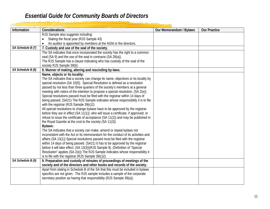<mark>شنقه مواقيست محسد</mark>

| Information       | Considerations                                                                                                                                                    | Our Memorandum / Bylaws | <b>Our Practice</b> |
|-------------------|-------------------------------------------------------------------------------------------------------------------------------------------------------------------|-------------------------|---------------------|
|                   | RJS Sample also suggests including:                                                                                                                               |                         |                     |
|                   | Stating the fiscal year (RJS Sample 43)                                                                                                                           |                         |                     |
|                   | An auditor is appointed by members at the AGM or the directors.                                                                                                   |                         |                     |
| SA Schedule B (7) | 7. Custody and use of the seal of the society.                                                                                                                    |                         |                     |
|                   | The SA indicates that once incorporated the society has the right to a common                                                                                     |                         |                     |
|                   | seal (SA 9) and the use of the seal in contracts (SA 28(a)).                                                                                                      |                         |                     |
|                   | The RJS Sample has a clause indicating who has custody of the seal of the                                                                                         |                         |                     |
|                   | society RJS Sample 39(b).                                                                                                                                         |                         |                     |
| SA Schedule B (8) | 8. Manner of making, altering and rescinding by-laws.                                                                                                             |                         |                     |
|                   | Name, objects or its locality:                                                                                                                                    |                         |                     |
|                   | The SA indicates that a society can change its name, objectives or its locality by                                                                                |                         |                     |
|                   | special resolution (SA 10(f)). Special Resolution is defined as a resolution                                                                                      |                         |                     |
|                   | passed by not less than three quarters of the society's members at a general                                                                                      |                         |                     |
|                   | meeting with notice of the intention to propose a special resolution. (SA 2(e)).<br>Special resolutions passed must be filed with the registrar within 14 days of |                         |                     |
|                   | being passed. (SA21) The RJS Sample indicates whose responsibility it is to file                                                                                  |                         |                     |
|                   | with the registrar (RJS Sample 39(c)2).                                                                                                                           |                         |                     |
|                   | All special resolutions to change bylaws have to be approved by the registrar                                                                                     |                         |                     |
|                   | before they are in effect (SA 11(1)); who will issue a certificate, if approved; or                                                                               |                         |                     |
|                   | refuse to issue the certificate of acceptance (SA 11(2)) and may be published in                                                                                  |                         |                     |
|                   | the Royal Gazette at the cost to the society (SA 11(3))                                                                                                           |                         |                     |
|                   | Bylaws:                                                                                                                                                           |                         |                     |
|                   | The SA indicates that a society can make, amend or repeal bylaws not                                                                                              |                         |                     |
|                   | inconsistent with the Act or its memorandum for the conduct of its activities and                                                                                 |                         |                     |
|                   | affairs (SA 13(1)) Special resolutions passed must be filed with the registrar                                                                                    |                         |                     |
|                   | within 14 days of being passed. (SA21) It has to be approved by the registrar                                                                                     |                         |                     |
|                   | before it will take effect. (SA 13(3))(RJS Sample 9). (Definition of "Special                                                                                     |                         |                     |
|                   | Resolution" applies (SA 2(e)) The RJS Sample indicates whose responsibility it                                                                                    |                         |                     |
|                   | is to file with the registrar (RJS Sample 39(c)2).                                                                                                                |                         |                     |
| SA Schedule B (9) | 9. Preparation and custody of minutes of proceedings of meetings of the                                                                                           |                         |                     |
|                   | society and of the directors and other books and records of the society.                                                                                          |                         |                     |
|                   | Apart from stating in Schedule B of the SA that this must be included in bylaws                                                                                   |                         |                     |
|                   | specifics are not given. The RJS sample includes a sample of the corporate                                                                                        |                         |                     |
|                   | secretary position as having that responsibility (RJS Sample 39(a)).                                                                                              |                         |                     |
|                   |                                                                                                                                                                   |                         |                     |

لمنتعا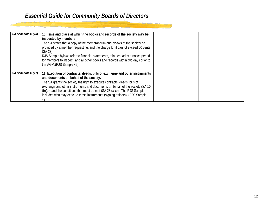| SA Schedule B (10) | 10. Time and place at which the books and records of the society may be<br>inspected by members.                                                                                                                                                                                                                                                                       |  |
|--------------------|------------------------------------------------------------------------------------------------------------------------------------------------------------------------------------------------------------------------------------------------------------------------------------------------------------------------------------------------------------------------|--|
|                    | The SA states that a copy of the memorandum and bylaws of the society be<br>provided by a member requesting, and the charge for it cannot exceed 50 cents<br>(SA 23)<br>RJS Sample bylaws refer to financial statements, minutes, adds a notice period<br>for members to inspect; and all other books and records within two days prior to<br>the AGM.(RJS Sample 49). |  |
| SA Schedule B (11) | 11. Execution of contracts, deeds, bills of exchange and other instruments<br>and documents on behalf of the society.                                                                                                                                                                                                                                                  |  |
|                    | The SA grants the society the right to execute contracts, deeds, bills of<br>exchange and other instruments and documents on behalf of the society (SA 10<br>$(b)(e)$ and the conditions that must be met $(SA 28 (a-c))$ . The RJS Sample<br>includes who may execute these instruments (signing officers). (RJS Sample<br>42).                                       |  |

<u>anisa isa</u>w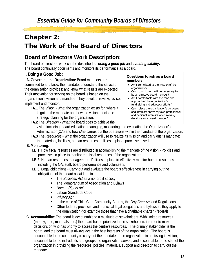# Chapter 2: The Work of the Board of Directors

## **Board of Directors Work Description:**

The board of directors' work can be described as *doing a good job* and *avoiding liability***.** The board continually documents and monitors its performance as a board.

## **I. Doing a Good Job:**

**I.A. Governing the Organization:** Board members are committed to and know the mandate, understand the services the organization provides; and know what results are expected. Their motivation for serving on the board is based on the organization's vision and mandate. They develop, review, revise, implement and monitor:

**I.A.1** The *Vision* - What the organization exists for; where it is going, the mandate and how the vision affects the strategic planning for the organization;

#### **Questions to ask as a board member:**

- Am I committed to the mission of the organization?
- Can I contribute the time necessary to be an effective board member?
- Am I comfortable with the tone and approach of the organization's fundraising and advocacy efforts?
- Can I place the organization's purposes and interests above my own professional and personal interests when making decisions as a board member?

**I.A.2** The *Direction* - What the board does to achieve the vision including, board education; managing, monitoring and evaluating the Organization's Administrator (OA) and how s/he carries out the operations within the mandate of the organization;

**I.A.3** The *Resources* - What the organization will use to realize its mission and carry out its mandate: the materials, facilities, human resources, policies in place, processes used.

## **I.B. Monitoring**:

- **I.B.1**: How fiscal resources are distributed in accomplishing the mandate of the vision Policies and processes in place to monitor the fiscal resources of the organization;
- **I.B.2**: Human resources management Policies in place to effectively monitor human resources including the OA, staff, board performance and volunteers;
- **I.B.3**: Legal obligations Carry out and evaluate the board's effectiveness in carrying out the obligations of the board as laid out in
	- The *Societies Act* as a nonprofit society;
	- The Memorandum of Association and Bylaws
	- *Human Rights Act*
	- Labour Standards Code
	- *Privacy Act*
	- In the case of Child Care Community Boards, the *Day Care Act* and Regulations
	- Other federal, provincial and municipal legal obligations and bylaws as they apply to the organization (for example those that have a charitable charter - federal)
- **I.C. Accountability**: The board is accountable to a multitude of stakeholders. With limited resources (money, time, materials, etc.) the board has to prioritize those stakeholders in order to make decisions on who has priority to access the centre's resources. The primary stakeholder is the board, and the board must always act in the best interests of the organization. The board is accountable to the community to carry out the mandate of the organization in achieving its vision; accountable to the individuals and groups the organization serves; and accountable to the staff of the organization in providing the resources, policies, materials, support and direction to carry out the mandate.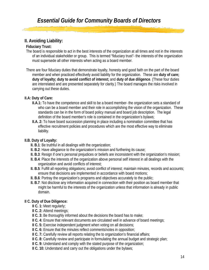## **II. Avoiding Liability:**

## **Fiduciary Trust:**

- The board is responsible to act in the best interests of the organization at all times and not in the interests of an individual stakeholder or group. This is termed "fiduciary trust"- the interests of the organization must supersede all other interests when acting as a board member.
- There are four fiduciary duties that demonstrate loyalty, honesty and good faith on the part of the board member and when practiced effectively avoid liability for the organization. These are **duty of care; duty of loyalty; duty to avoid conflict of interest;** and **duty of due diligence**. (These four duties are interrelated and are presented separately for clarity.) The board manages the risks involved in carrying out these duties.

## **II.A: Duty of Care:**

- **II.A.1:** To have the competence and skill to be a board member- the organization sets a standard of who can be a board member and their role in accomplishing the vision of the organization. These standards can be in the form of board policy manual and board job description. The legal definition of the board member's role is contained in the organization's bylaws;
- **II.A. 2:** To have board succession planning in place including a nomination committee that has effective recruitment policies and procedures which are the most effective way to eliminate liability.

## **II.B. Duty of Loyalty:**

- **II. B.1**: Be truthful in all dealings with the organization;
- **II. B.2**: Have allegiance to the organization's mission and furthering its cause;
- **II. B.3**: Resign if one's personal prejudices or beliefs are inconsistent with the organization's mission;
- **II. B.4**: Place the interests of the organization above personal self interest in all dealings with the organization and avoid conflicts of interest;
- **II. B.5**: Fulfill all reporting obligations; avoid conflict of interest; maintain minutes, records and accounts; ensure that decisions are implemented in accordance with board motions;
- **II. B.6**: Portray the organization's programs and objectives accurately to the public;
- **II. B.7**: Not disclose any information acquired in connection with their position as board member that might be harmful to the interests of the organization unless that information is already in public domain.

## **II C. Duty of Due Diligence:**

- **II C. 1:** Meet regularly;
- **II C. 2: Attend meetings;**
- **II C. 3:** Be thoroughly informed about the decisions the board has to make;
- **II C. 4:** Ensure that relevant documents are circulated well in advance of board meetings;
- **II C. 5: Exercise independent judgment when voting on all decisions;**
- **II C. 6:** Ensure that the minutes reflect comments/votes in opposition;
- **II** C. 7: Carefully review all reports relating the to organization's financial affairs;
- **II C. 8:** Carefully review and participate in formulating the annual budget and strategic plan;
- **II C. 9:** Understand and comply with the stated purpose of the organization;
- **II C. 10:** Understand and carry out the obligations under the bylaws;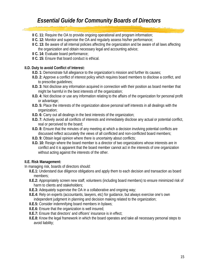- **II C. 11:** Require the OA to provide ongoing operational and program information;
- **II C. 12:** Monitor and supervise the OA and regularly assess his/her performance;
- **II C. 13:** Be aware of all internal policies affecting the organization and be aware of all laws affecting the organization and obtain necessary legal and accounting advice;
- **II C. 14:** Evaluate board performance;
- **II C. 15:** Ensure that board conduct is ethical.

### **II.D. Duty to avoid Conflict of Interest:**

- **II.D. 1:** Demonstrate full allegiance to the organization's mission and further its causes;
- **II.D. 2:** Approve a conflict of interest policy which requires board members to disclose a conflict, and to prescribe guidelines;
- **II.D. 3:** Not disclose any information acquired in connection with their position as board member that might be harmful in the best interests of the organization;
- **II.D. 4:** Not disclose or use any information relating to the affairs of the organization for personal profit or advantage;
- **II.D. 5:** Place the interests of the organization above personal self interests in all dealings with the organization;
- **II.D. 6:** Carry out all dealings in the best interests of the organization;
- **II.D. 7:** Actively avoid all conflicts of interests and immediately disclose any actual or potential conflict, real or perceived to the board;
- **II.D. 8:** Ensure that the minutes of any meeting at which a decision involving potential conflicts are discussed reflect accurately the views of all conflicted and non-conflicted board members;
- **II.D. 9:** Obtain legal opinion where there is uncertainty about conflicts;
- **II.D. 10:** Resign where the board member is a director of two organizations whose interests are in conflict and it is apparent that the board member cannot act in the interests of one organization without acting against the interests of the other.

## **II.E. Risk Management:**

In managing risk, boards of directors should:

- **II.E.1:** Understand due diligence obligations and apply them to each decision and transaction as board members;
- **II.E.2:** Appropriately screen new staff, volunteers (including board members) to ensure minimized risk of harm to clients and stakeholders;
- **II.E.3:** Adequately supervise the OA in a collaborative and ongoing way;
- **II.E.4:** Rely on experts (accountants, lawyers, etc) for guidance, but always exercise one's own independent judgment in planning and decision making related to the organization;
- **II.E.5:** Consider indemnifying board members in bylaws;
- **II.E.6:** Ensure that the organization is well insured;
- **II.E.7:** Ensure that directors' and officers' insurance is in effect;
- **II.E.8:** Know the legal framework in which the board operates and take all necessary personal steps to avoid liability;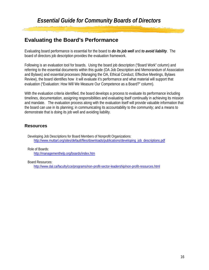## **Evaluating the Board's Performance**

Evaluating board performance is essential for the board to *do its job well* and *to avoid liability*. The board of directors job description provides the evaluation framework.

Following is an evaluation tool for boards. Using the board job description ("Board Work" column) and referring to the essential documents within this guide (OA Job Description and Memorandum of Association and Bylaws) and essential processes (Managing the OA, Ethical Conduct, Effective Meetings, Bylaws Review), the board identifies how it will evaluate it's performance and what material will support that evaluation ("Evaluation: How Will We Measure Our Competence as a Board?" column).

With the evaluation criteria identified, the board develops a process to evaluate its performance including timelines, documentation, assigning responsibilities and evaluating itself continually in achieving its mission and mandate. The evaluation process along with the evaluation itself will provide valuable information that the board can use in its planning; in communicating its accountability to the community; and a means to demonstrate that is doing its job well and avoiding liability.

## **Resources**

Developing Job Descriptions for Board Members of Nonprofit Organizations: [http://www.muttart.org/sites/default/files/downloads/publications/developing\\_job\\_descriptions.pdf](http://www.muttart.org/sites/default/files/downloads/publications/developing_job_descriptions.pdf)

Role of Boards:

<http://managementhelp.org/boards/index.htm>

#### Board Resources:

<http://www.dal.ca/faculty/cce/programs/non-profit-sector-leadership/non-profit-resources.html>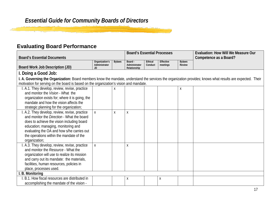## **Evaluating Board Performance**

<u>الأحمان المترجم المراجع التي</u>

|                                                                                                                                                             |                                       | <b>Board's Essential Processes</b> |                                          |                           |                              | <b>Evaluation: How Will We Measure Our</b> |  |
|-------------------------------------------------------------------------------------------------------------------------------------------------------------|---------------------------------------|------------------------------------|------------------------------------------|---------------------------|------------------------------|--------------------------------------------|--|
| <b>Board's Essential Documents</b>                                                                                                                          |                                       |                                    |                                          |                           |                              | Competence as a Board?                     |  |
| Board Work Job Description (JD)                                                                                                                             | Organization's<br>Administrator<br>JD | <b>Bylaws</b>                      | Board -<br>Administrator<br>Relationship | <b>Ethical</b><br>Conduct | <b>Effective</b><br>meetings | <b>Bylaws</b><br><b>Review</b>             |  |
| I. Doing a Good Job:                                                                                                                                        |                                       |                                    |                                          |                           |                              |                                            |  |
| I. A. Governing the Organization: Board members know the mandate, understand the services the organization provides; knows what results are expected. Their |                                       |                                    |                                          |                           |                              |                                            |  |
| motivation for serving on the board is based on the organization's vision and mandate.                                                                      |                                       |                                    |                                          |                           |                              |                                            |  |
| I. A.1. They develop, review, revise, practice                                                                                                              |                                       | X                                  |                                          |                           |                              | X                                          |  |
| and monitor the Vision - What the                                                                                                                           |                                       |                                    |                                          |                           |                              |                                            |  |
| organization exists for; where it is going, the                                                                                                             |                                       |                                    |                                          |                           |                              |                                            |  |
| mandate and how the vision affects the                                                                                                                      |                                       |                                    |                                          |                           |                              |                                            |  |
| strategic planning for the organization;                                                                                                                    |                                       |                                    |                                          |                           |                              |                                            |  |
| I. A.2. They develop, review, revise, practice                                                                                                              | $\pmb{\mathsf{X}}$                    | X                                  | Χ                                        |                           |                              |                                            |  |
| and monitor the <i>Direction</i> - What the board                                                                                                           |                                       |                                    |                                          |                           |                              |                                            |  |
| does to achieve the vision including board                                                                                                                  |                                       |                                    |                                          |                           |                              |                                            |  |
| education; managing, monitoring and                                                                                                                         |                                       |                                    |                                          |                           |                              |                                            |  |
| evaluating the OA and how s/he carries out                                                                                                                  |                                       |                                    |                                          |                           |                              |                                            |  |
| the operations within the mandate of the                                                                                                                    |                                       |                                    |                                          |                           |                              |                                            |  |
| organization;                                                                                                                                               |                                       |                                    |                                          |                           |                              |                                            |  |
| I. A.3. They develop, review, revise, practice                                                                                                              | Χ                                     |                                    | Χ                                        |                           |                              |                                            |  |
| and monitor the Resource - What the                                                                                                                         |                                       |                                    |                                          |                           |                              |                                            |  |
| organization will use to realize its mission                                                                                                                |                                       |                                    |                                          |                           |                              |                                            |  |
| and carry out its mandate: the materials,                                                                                                                   |                                       |                                    |                                          |                           |                              |                                            |  |
| facilities, human resources, policies in                                                                                                                    |                                       |                                    |                                          |                           |                              |                                            |  |
| place, processes used.                                                                                                                                      |                                       |                                    |                                          |                           |                              |                                            |  |
| I. B. Monitoring                                                                                                                                            |                                       |                                    |                                          |                           |                              |                                            |  |
| B.1. How fiscal resources are distributed in                                                                                                                |                                       |                                    | Χ                                        |                           | χ                            |                                            |  |
| accomplishing the mandate of the vision -                                                                                                                   |                                       |                                    |                                          |                           |                              |                                            |  |

<u>rinina</u>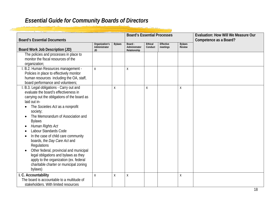|                                              |                                 |   | <b>Board's Essential Processes</b>       |                      |          |                  | <b>Evaluation: How Will We Measure Our</b> |
|----------------------------------------------|---------------------------------|---|------------------------------------------|----------------------|----------|------------------|--------------------------------------------|
| <b>Board's Essential Documents</b>           | Organization's<br><b>Bylaws</b> |   |                                          | Ethical<br>Effective |          | <b>Bylaws</b>    | Competence as a Board?                     |
| Board Work Job Description (JD)              | Administrator<br>JD             |   | Board -<br>Administrator<br>Relationship | Conduct              | meetings | Review           |                                            |
| The policies and processes in place to       |                                 |   |                                          |                      |          |                  |                                            |
| monitor the fiscal resources of the          |                                 |   |                                          |                      |          |                  |                                            |
| organization;                                |                                 |   |                                          |                      |          |                  |                                            |
| I. B.2. Human Resources management -         | $\pmb{\mathsf{X}}$              |   | X                                        |                      |          |                  |                                            |
| Policies in place to effectively monitor     |                                 |   |                                          |                      |          |                  |                                            |
| human resources including the OA, staff,     |                                 |   |                                          |                      |          |                  |                                            |
| board performance and volunteers;            |                                 |   |                                          |                      |          |                  |                                            |
| B.3. Legal obligations - Carry out and       |                                 | X |                                          | Χ                    |          | $\boldsymbol{X}$ |                                            |
| evaluate the board's effectiveness in        |                                 |   |                                          |                      |          |                  |                                            |
| carrying out the obligations of the board as |                                 |   |                                          |                      |          |                  |                                            |
| laid out in-                                 |                                 |   |                                          |                      |          |                  |                                            |
| The Societies Act as a nonprofit             |                                 |   |                                          |                      |          |                  |                                            |
| society;                                     |                                 |   |                                          |                      |          |                  |                                            |
| The Memorandum of Association and            |                                 |   |                                          |                      |          |                  |                                            |
| <b>Bylaws</b>                                |                                 |   |                                          |                      |          |                  |                                            |
| Human Rights Act                             |                                 |   |                                          |                      |          |                  |                                            |
| Labour Standards Code                        |                                 |   |                                          |                      |          |                  |                                            |
| In the case of child care community          |                                 |   |                                          |                      |          |                  |                                            |
| boards, the Day Care Act and                 |                                 |   |                                          |                      |          |                  |                                            |
| Regulations                                  |                                 |   |                                          |                      |          |                  |                                            |
| Other federal, provincial and municipal      |                                 |   |                                          |                      |          |                  |                                            |
| legal obligations and bylaws as they         |                                 |   |                                          |                      |          |                  |                                            |
| apply to the organization (ex. federal       |                                 |   |                                          |                      |          |                  |                                            |
| charitable charter or municipal zoning       |                                 |   |                                          |                      |          |                  |                                            |
| bylaws)                                      |                                 |   |                                          |                      |          |                  |                                            |
| I. C. Accountability                         | X                               | χ | χ                                        |                      |          | X                |                                            |
| The board is accountable to a multitude of   |                                 |   |                                          |                      |          |                  |                                            |
| stakeholders. With limited resources         |                                 |   |                                          |                      |          |                  |                                            |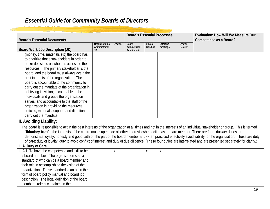|                                                                                                                                                                        |                                       |               | <b>Board's Essential Processes</b>       |                           |                       |                         | <b>Evaluation: How Will We Measure Our</b> |
|------------------------------------------------------------------------------------------------------------------------------------------------------------------------|---------------------------------------|---------------|------------------------------------------|---------------------------|-----------------------|-------------------------|--------------------------------------------|
| <b>Board's Essential Documents</b>                                                                                                                                     |                                       |               |                                          |                           |                       |                         | Competence as a Board?                     |
| Board Work Job Description (JD)                                                                                                                                        | Organization's<br>Administrator<br>JD | <b>Bylaws</b> | Board -<br>Administrator<br>Relationship | <b>Ethical</b><br>Conduct | Effective<br>meetings | <b>Bylaws</b><br>Review |                                            |
| (money, time, materials etc) the board has                                                                                                                             |                                       |               |                                          |                           |                       |                         |                                            |
| to prioritize those stakeholders in order to                                                                                                                           |                                       |               |                                          |                           |                       |                         |                                            |
| make decisions on who has access to the                                                                                                                                |                                       |               |                                          |                           |                       |                         |                                            |
| resources. The primary stakeholder is the                                                                                                                              |                                       |               |                                          |                           |                       |                         |                                            |
| board, and the board must always act in the                                                                                                                            |                                       |               |                                          |                           |                       |                         |                                            |
| best interests of the organization. The                                                                                                                                |                                       |               |                                          |                           |                       |                         |                                            |
| board is accountable to the community to                                                                                                                               |                                       |               |                                          |                           |                       |                         |                                            |
| carry out the mandate of the organization in                                                                                                                           |                                       |               |                                          |                           |                       |                         |                                            |
| achieving its vision; accountable to the                                                                                                                               |                                       |               |                                          |                           |                       |                         |                                            |
| individuals and groups the organization                                                                                                                                |                                       |               |                                          |                           |                       |                         |                                            |
| serves; and accountable to the staff of the                                                                                                                            |                                       |               |                                          |                           |                       |                         |                                            |
| organization in providing the resources,                                                                                                                               |                                       |               |                                          |                           |                       |                         |                                            |
| policies, materials, support and direction to                                                                                                                          |                                       |               |                                          |                           |                       |                         |                                            |
| carry out the mandate.                                                                                                                                                 |                                       |               |                                          |                           |                       |                         |                                            |
| II. Avoiding Liability:                                                                                                                                                |                                       |               |                                          |                           |                       |                         |                                            |
| The board is responsible to act in the best interests of the organization at all times and not in the interests of an individual stakeholder or group. This is termed  |                                       |               |                                          |                           |                       |                         |                                            |
| "fiduciary trust" - the interests of the centre must supersede all other interests when acting as a board member. There are four fiduciary duties that                 |                                       |               |                                          |                           |                       |                         |                                            |
| demonstrate loyalty, honesty and good faith on the part of the board member and when practiced effectively avoid liability for the organization. These are duty        |                                       |               |                                          |                           |                       |                         |                                            |
| of care; duty of loyalty; duty to avoid conflict of interest and duty of due diligence. (These four duties are interrelated and are presented separately for clarity.) |                                       |               |                                          |                           |                       |                         |                                            |
| II. A. Duty of Care                                                                                                                                                    |                                       |               |                                          |                           |                       |                         |                                            |
| II. A.1. To have the competence and skill to be                                                                                                                        |                                       | Χ             |                                          | $\pmb{\mathsf{X}}$        | Χ                     |                         |                                            |
| a board member - The organization sets a                                                                                                                               |                                       |               |                                          |                           |                       |                         |                                            |
| standard of who can be a board member and                                                                                                                              |                                       |               |                                          |                           |                       |                         |                                            |
| their role in accomplishing the vision of the                                                                                                                          |                                       |               |                                          |                           |                       |                         |                                            |
| organization. These standards can be in the                                                                                                                            |                                       |               |                                          |                           |                       |                         |                                            |
| form of board policy manual and board job                                                                                                                              |                                       |               |                                          |                           |                       |                         |                                            |
| description. The legal definition of the board                                                                                                                         |                                       |               |                                          |                           |                       |                         |                                            |
| member's role is contained in the                                                                                                                                      |                                       |               |                                          |                           |                       |                         |                                            |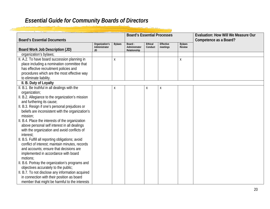| <b>Board's Essential Documents</b>                |                                       |               | <b>Board's Essential Processes</b>       |                    |                       |                                | <b>Evaluation: How Will We Measure Our</b><br>Competence as a Board? |
|---------------------------------------------------|---------------------------------------|---------------|------------------------------------------|--------------------|-----------------------|--------------------------------|----------------------------------------------------------------------|
| Board Work Job Description (JD)                   | Organization's<br>Administrator<br>JD | <b>Bylaws</b> | Board -<br>Administrator<br>Relationship | Ethical<br>Conduct | Effective<br>meetings | <b>Bylaws</b><br><b>Review</b> |                                                                      |
| organization's bylaws;                            |                                       |               |                                          |                    |                       |                                |                                                                      |
| II. A.2. To have board succession planning in     |                                       | Χ             |                                          |                    |                       | χ                              |                                                                      |
| place including a nomination committee that       |                                       |               |                                          |                    |                       |                                |                                                                      |
| has effective recruitment policies and            |                                       |               |                                          |                    |                       |                                |                                                                      |
| procedures which are the most effective way       |                                       |               |                                          |                    |                       |                                |                                                                      |
| to eliminate liability.                           |                                       |               |                                          |                    |                       |                                |                                                                      |
| II. B. Duty of Loyalty                            |                                       |               |                                          |                    |                       |                                |                                                                      |
| II. B.1. Be truthful in all dealings with the     |                                       | χ             |                                          | X                  | Χ                     |                                |                                                                      |
| organization;                                     |                                       |               |                                          |                    |                       |                                |                                                                      |
| II. B.2. Allegiance to the organization's mission |                                       |               |                                          |                    |                       |                                |                                                                      |
| and furthering its cause;                         |                                       |               |                                          |                    |                       |                                |                                                                      |
| II. B.3. Resign if one's personal prejudices or   |                                       |               |                                          |                    |                       |                                |                                                                      |
| beliefs are inconsistent with the organization's  |                                       |               |                                          |                    |                       |                                |                                                                      |
| mission;                                          |                                       |               |                                          |                    |                       |                                |                                                                      |
| II. B.4. Place the interests of the organization  |                                       |               |                                          |                    |                       |                                |                                                                      |
| above personal self interest in all dealings      |                                       |               |                                          |                    |                       |                                |                                                                      |
| with the organization and avoid conflicts of      |                                       |               |                                          |                    |                       |                                |                                                                      |
| interest;                                         |                                       |               |                                          |                    |                       |                                |                                                                      |
| II. B.5. Fulfill all reporting obligations; avoid |                                       |               |                                          |                    |                       |                                |                                                                      |
| conflict of interest; maintain minutes, records   |                                       |               |                                          |                    |                       |                                |                                                                      |
| and accounts; ensure that decisions are           |                                       |               |                                          |                    |                       |                                |                                                                      |
| implemented in accordance with board              |                                       |               |                                          |                    |                       |                                |                                                                      |
| motions:                                          |                                       |               |                                          |                    |                       |                                |                                                                      |
| II. B.6. Portray the organization's programs and  |                                       |               |                                          |                    |                       |                                |                                                                      |
| objectives accurately to the public;              |                                       |               |                                          |                    |                       |                                |                                                                      |
| II. B.7. To not disclose any information acquired |                                       |               |                                          |                    |                       |                                |                                                                      |
| in connection with their position as board        |                                       |               |                                          |                    |                       |                                |                                                                      |
| member that might be harmful to the interests     |                                       |               |                                          |                    |                       |                                |                                                                      |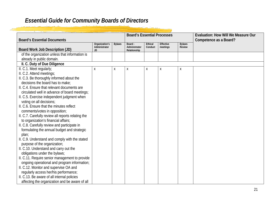| <b>Board's Essential Documents</b>                                                  | <b>Board's Essential Processes</b>    |               |                                          |                    | <b>Evaluation: How Will We Measure Our</b><br>Competence as a Board? |                         |  |
|-------------------------------------------------------------------------------------|---------------------------------------|---------------|------------------------------------------|--------------------|----------------------------------------------------------------------|-------------------------|--|
| Board Work Job Description (JD)                                                     | Organization's<br>Administrator<br>JD | <b>Bylaws</b> | Board -<br>Administrator<br>Relationship | Ethical<br>Conduct | <b>Effective</b><br>meetings                                         | <b>Bylaws</b><br>Review |  |
| of the organization unless that information is                                      |                                       |               |                                          |                    |                                                                      |                         |  |
| already in public domain.                                                           |                                       |               |                                          |                    |                                                                      |                         |  |
| II. C. Duty of Due Diligence                                                        |                                       |               |                                          |                    |                                                                      |                         |  |
| II. C.1. Meet regularly;                                                            | χ                                     | χ             | X                                        | $\pmb{\mathsf{X}}$ | Χ                                                                    | Χ                       |  |
| II. C.2. Attend meetings;                                                           |                                       |               |                                          |                    |                                                                      |                         |  |
| II. C.3. Be thoroughly informed about the                                           |                                       |               |                                          |                    |                                                                      |                         |  |
| decisions the board has to make;                                                    |                                       |               |                                          |                    |                                                                      |                         |  |
| II. C.4. Ensure that relevant documents are                                         |                                       |               |                                          |                    |                                                                      |                         |  |
| circulated well in advance of board meetings;                                       |                                       |               |                                          |                    |                                                                      |                         |  |
| II. C.5. Exercise independent judgment when                                         |                                       |               |                                          |                    |                                                                      |                         |  |
| voting on all decisions;                                                            |                                       |               |                                          |                    |                                                                      |                         |  |
| II. C.6. Ensure that the minutes reflect                                            |                                       |               |                                          |                    |                                                                      |                         |  |
| comments/votes in opposition;<br>II. C.7. Carefully review all reports relating the |                                       |               |                                          |                    |                                                                      |                         |  |
| to organization's financial affairs;                                                |                                       |               |                                          |                    |                                                                      |                         |  |
| II. C.8. Carefully review and participate in                                        |                                       |               |                                          |                    |                                                                      |                         |  |
| formulating the annual budget and strategic                                         |                                       |               |                                          |                    |                                                                      |                         |  |
| plan;                                                                               |                                       |               |                                          |                    |                                                                      |                         |  |
| II. C.9. Understand and comply with the stated                                      |                                       |               |                                          |                    |                                                                      |                         |  |
| purpose of the organization;                                                        |                                       |               |                                          |                    |                                                                      |                         |  |
| II. C.10. Understand and carry out the                                              |                                       |               |                                          |                    |                                                                      |                         |  |
| obligations under the bylaws;                                                       |                                       |               |                                          |                    |                                                                      |                         |  |
| II. C.11. Require senior management to provide                                      |                                       |               |                                          |                    |                                                                      |                         |  |
| ongoing operational and program information;                                        |                                       |               |                                          |                    |                                                                      |                         |  |
| II. C.12. Monitor and supervise OA and                                              |                                       |               |                                          |                    |                                                                      |                         |  |
| regularly access her/his performance;                                               |                                       |               |                                          |                    |                                                                      |                         |  |
| II. C.13. Be aware of all internal policies                                         |                                       |               |                                          |                    |                                                                      |                         |  |
| affecting the organization and be aware of all                                      |                                       |               |                                          |                    |                                                                      |                         |  |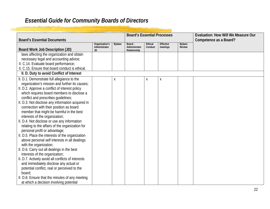| <b>Board's Essential Documents</b>                 |                                                                                                                                                                              |   | <b>Board's Essential Processes</b> |   |   |  | <b>Evaluation: How Will We Measure Our</b><br>Competence as a Board? |
|----------------------------------------------------|------------------------------------------------------------------------------------------------------------------------------------------------------------------------------|---|------------------------------------|---|---|--|----------------------------------------------------------------------|
| Board Work Job Description (JD)                    | Organization's<br>Ethical<br>Effective<br><b>Bylaws</b><br><b>Bylaws</b><br>Board -<br>Administrator<br>Review<br>Administrator<br>Conduct<br>meetings<br>Relationship<br>JD |   |                                    |   |   |  |                                                                      |
| laws affecting the organization and obtain         |                                                                                                                                                                              |   |                                    |   |   |  |                                                                      |
| necessary legal and accounting advice;             |                                                                                                                                                                              |   |                                    |   |   |  |                                                                      |
| II. C.14. Evaluate board performance;              |                                                                                                                                                                              |   |                                    |   |   |  |                                                                      |
| II. C.15. Ensure that board conduct is ethical.    |                                                                                                                                                                              |   |                                    |   |   |  |                                                                      |
| II. D. Duty to avoid Conflict of Interest          |                                                                                                                                                                              |   |                                    |   |   |  |                                                                      |
| II. D.1. Demonstrate full allegiance to the        |                                                                                                                                                                              | X |                                    | X | Χ |  |                                                                      |
| organization's mission and further its causes;     |                                                                                                                                                                              |   |                                    |   |   |  |                                                                      |
| II. D.2. Approve a conflict of interest policy     |                                                                                                                                                                              |   |                                    |   |   |  |                                                                      |
| which requires board members to disclose a         |                                                                                                                                                                              |   |                                    |   |   |  |                                                                      |
| conflict and prescribes guidelines;                |                                                                                                                                                                              |   |                                    |   |   |  |                                                                      |
| II. D.3. Not disclose any information acquired in  |                                                                                                                                                                              |   |                                    |   |   |  |                                                                      |
| connection with their position as board            |                                                                                                                                                                              |   |                                    |   |   |  |                                                                      |
| member that might be harmful in the best           |                                                                                                                                                                              |   |                                    |   |   |  |                                                                      |
| interests of the organization;                     |                                                                                                                                                                              |   |                                    |   |   |  |                                                                      |
| II. D.4. Not disclose or use any information       |                                                                                                                                                                              |   |                                    |   |   |  |                                                                      |
| relating to the affairs of the organization for    |                                                                                                                                                                              |   |                                    |   |   |  |                                                                      |
| personal profit or advantage;                      |                                                                                                                                                                              |   |                                    |   |   |  |                                                                      |
| II. D.5. Place the interests of the organization   |                                                                                                                                                                              |   |                                    |   |   |  |                                                                      |
| above personal self interests in all dealings      |                                                                                                                                                                              |   |                                    |   |   |  |                                                                      |
| with the organization;                             |                                                                                                                                                                              |   |                                    |   |   |  |                                                                      |
| II. D.6. Carry out all dealings in the best        |                                                                                                                                                                              |   |                                    |   |   |  |                                                                      |
| interests of the organization;                     |                                                                                                                                                                              |   |                                    |   |   |  |                                                                      |
| II. D.7. Actively avoid all conflicts of interests |                                                                                                                                                                              |   |                                    |   |   |  |                                                                      |
| and immediately disclose any actual or             |                                                                                                                                                                              |   |                                    |   |   |  |                                                                      |
| potential conflict, real or perceived to the       |                                                                                                                                                                              |   |                                    |   |   |  |                                                                      |
| board:                                             |                                                                                                                                                                              |   |                                    |   |   |  |                                                                      |
| II. D.8. Ensure that the minutes of any meeting    |                                                                                                                                                                              |   |                                    |   |   |  |                                                                      |
| at which a decision involving potential            |                                                                                                                                                                              |   |                                    |   |   |  |                                                                      |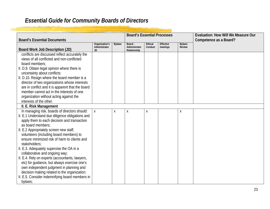| <b>Board's Essential Documents</b>                                                                                                                                                                                                                                                                                                                                                                                                                                                                                                                                                                                                                                       |                                       |               | <b>Board's Essential Processes</b>       |                           |                       |                         | <b>Evaluation: How Will We Measure Our</b><br>Competence as a Board? |
|--------------------------------------------------------------------------------------------------------------------------------------------------------------------------------------------------------------------------------------------------------------------------------------------------------------------------------------------------------------------------------------------------------------------------------------------------------------------------------------------------------------------------------------------------------------------------------------------------------------------------------------------------------------------------|---------------------------------------|---------------|------------------------------------------|---------------------------|-----------------------|-------------------------|----------------------------------------------------------------------|
| Board Work Job Description (JD)                                                                                                                                                                                                                                                                                                                                                                                                                                                                                                                                                                                                                                          | Organization's<br>Administrator<br>JD | <b>Bylaws</b> | Board -<br>Administrator<br>Relationship | <b>Ethical</b><br>Conduct | Effective<br>meetings | <b>Bylaws</b><br>Review |                                                                      |
| conflicts are discussed reflect accurately the<br>views of all conflicted and non-conflicted<br>board members:<br>II. D.9. Obtain legal opinion where there is<br>uncertainty about conflicts;<br>II. D.10. Resign where the board member is a<br>director of two organizations whose interests<br>are in conflict and it is apparent that the board<br>member cannot act in the interests of one<br>organization without acting against the                                                                                                                                                                                                                             |                                       |               |                                          |                           |                       |                         |                                                                      |
| interests of the other.<br>II. E. Risk Management                                                                                                                                                                                                                                                                                                                                                                                                                                                                                                                                                                                                                        |                                       |               |                                          |                           |                       |                         |                                                                      |
| In managing risk, boards of directors should:<br>II. E.1 Understand due diligence obligations and<br>apply them to each decision and transaction<br>as board members:<br>II. E.2 Appropriately screen new staff,<br>volunteers (including board members) to<br>ensure minimized risk of harm to clients and<br>stakeholders;<br>II. E.3. Adequately supervise the OA in a<br>collaborative and ongoing way;<br>II. E.4. Rely on experts (accountants, lawyers,<br>etc) for guidance, but always exercise one's<br>own independent judgment in planning and<br>decision making related to the organization;<br>II. E.5. Consider indemnifying board members in<br>bylaws; | $\mathsf{X}$                          | X             | Χ                                        | X                         |                       | Χ                       |                                                                      |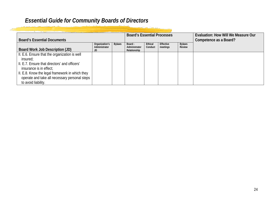| <b>Board's Essential Documents</b>                                                                                                                                                                                                                               |                                       |               |                                          |                           | <b>Board's Essential Processes</b> |                         | Evaluation: How Will We Measure Our<br>Competence as a Board? |
|------------------------------------------------------------------------------------------------------------------------------------------------------------------------------------------------------------------------------------------------------------------|---------------------------------------|---------------|------------------------------------------|---------------------------|------------------------------------|-------------------------|---------------------------------------------------------------|
| Board Work Job Description (JD)                                                                                                                                                                                                                                  | Organization's<br>Administrator<br>JD | <b>Bylaws</b> | Board -<br>Administrator<br>Relationship | <b>Ethical</b><br>Conduct | Effective<br>meetings              | <b>Bylaws</b><br>Review |                                                               |
| II. E.6. Ensure that the organization is well<br>insured:<br>II. E.7. Ensure that directors' and officers'<br>insurance is in effect;<br>II. E.8. Know the legal framework in which they<br>operate and take all necessary personal steps<br>to avoid liability. |                                       |               |                                          |                           |                                    |                         |                                                               |

<u>and the second</u>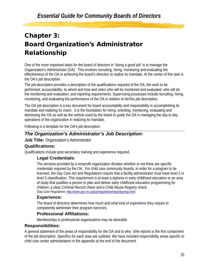# Chapter 3: Board Organization's Administrator Relationship

One of the more important tasks for the board of directors in "doing a good job" is to manage the Organization's Administrator (OA). This involves recruiting, hiring, monitoring and evaluating the effectiveness of the OA in achieving the board's direction to realize its mandate. At the center of this task is the OA's job description.

The job description provides a description of the qualifications required of the OA, the work to be performed; accountability- to whom and how and when s/he will be monitored and evaluated; who will do the monitoring and evaluation; and reporting requirements. Supervising processes include recruiting, hiring, monitoring, and evaluating the performance of the OA in relation to her/his job description.

The OA job description is a key document for board accountability and responsibility in accomplishing its mandate and realizing its vision. It is the foundation for hiring, orienting, monitoring, evaluating and dismissing the OA as well as the vehicle used by the board to guide the OA in managing the day to day operations of the organization in realizing its mandate.

Following is a template for the OA's job description.

## *The Organization's Administrator's Job Description:*

**Job Title: Organization's Administrator** 

## **Qualifications:**

Qualifications include post secondary training and experience required.

## **Legal Credentials:**

The services provided by a nonprofit organization dictates whether or not there are specific credentials required by the OA. For child care community boards, in order for a program to be licensed, the *Day Care Act* and Regulations require that a facility administrator must have level 2 or level 3 classification. This requirement is at least a diploma in early childhood education or an area of study that qualifies a person to plan and deliver early childhood education programming for children; a clear Criminal Record check and a Child Abuse Registry check.<br>(Day Care Regulations[: http://www.gov.ns.ca/just/regulations/regs/dayregs.htm\)](http://www.gov.ns.ca/just/regulations/regs/dayregs.htm)

## **Experience:**

The board of directors determines how much and what kind of experience they require to competently administer their program /services.

## **Professional Affiliations:**

Memberships in professional organizations may be desirable.

## **Responsibilities:**

A general statement of the areas of responsibility for the OA and to who `s/he reports is the first component of the job description. Specifics for each area are outlined. We have included responsibility areas specific to child care center administrators in the appendix at the end of the document.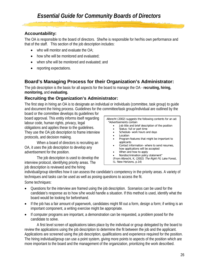## **Accountability:**

The OA is responsible to the board of directors. She/he is responsible for her/his own performance and that of the staff. This section of the job description includes:

- who will monitor and evaluate the  $OA$ ;
- how s/he will be monitored and evaluated;
- when s/he will be monitored and evaluated; and
- reporting expectations.

## **Board's Managing Process for their Organization's Administrator:**

The job description is the basis for all aspects for the board to manage the OA - **recruiting, hiring, monitoring,** and **evaluating.** 

## **Recruiting the Organization's Administrator:**

The first step in hiring an OA is to designate an individual or individuals (committee, task group) to guide and document the hiring process. Guidelines for the committee/task group/individual are outlined by the

board or the committee develops its guidelines for board approval. This entity informs itself regarding labour code, human rights, privacy, legal obligations and applies these to the guidelines. They use the OA job description to frame interview protocols, and decision making.

When a board of directors is recruiting an OA, it uses the job description to develop any advertisement for the position.

The job description is used to develop the interview protocol, identifying priority areas. The job description is reviewed and the hiring

Albrecht (2002) suggests the following contents for an ad: "Advertisements contain

- Job title and brief description of the position
- Status- full or part time
- Schedule- work hours and days
- Location
- Program features that might be important to applicants
- Contact information- where to send resumes, how applications will be accepted
- When and how to apply
- Nondiscrimination policy statement"

(From Albrecht, K, (2002) The Right Fit, Lake Forest,

IL: New Horizons, p.14)

individual/group identifies how it can assess the candidate's competency in the priority areas. A variety of techniques and tasks can be used as well as posing questions to access the fit.

Some techniques:

- Questions for the interview are framed using the job description. Scenarios can be used for the candidate's response as to how s/he would handle a situation. If this method is used, identify what the board would be looking for beforehand.
- If the job has a fair amount of paperwork, candidates might fill out a form, design a form; if writing is an important component, a writing exercise might be appropriate.
- If computer programs are important, a demonstration can be requested, a problem posed for the candidate to solve.

A first level screen of applications takes place by the individual or group delegated by the board to review the applications using the job description to determine the fit between the job and the applicant. Applications are screened using the job description, qualifications and experience required for the position. The hiring individual/group can use a point system, giving more points to aspects of the position which are more important to the board and the management of the organization, prioritizing the work described.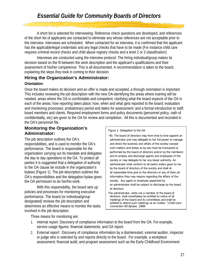A short list is selected for interviewing. Reference check questions are developed, and references of the short list of applicants are contacted to eliminate any whose references are not acceptable prior to the interview. Interviews are scheduled. When contacted for an interview, it is confirmed that the applicant has the applicable/legal credentials and any legal checks that have to be made (For instance child care requires criminal record checks and child abuse registry checks and a level 2 or 3 classification)

Interviews are conducted using the interview protocol. The hiring individual/group makes its decision based on the fit between the work description and the applicant's qualifications and their assessment of his/her competence. This is all documented. A recommendation is taken to the board, explaining the steps they took in coming to their decision.

## **Hiring the Organization's Administrator:**

#### **Orientation:**

Once the board makes its decision and an offer is made and accepted, a through orientation is important. This includes reviewing the job description with the new OA-identifying the areas where training will be needed, areas where the OA is comfortable and competent; clarifying what the board expects of the OA in each of the areas; how reporting takes place; how, when and what gets reported to the board; evaluation and monitoring processes; probationary period and dates for assessment; and a formal introduction to staff, board members and clients. Required employment forms and policy documents (personnel policy, oath of confidentiality, etc) are given to the OA for review and completion. All this is documented and recorded in the OA's personnel file.

## **Monitoring the Organization's Administrator:**

The job description outlines the OA's responsibilities, and is used to monitor the OA's performance. The board is responsible for the organization carrying out its mandate and delegates the day to day operations to the OA. To protect all parties it is suggested that a delegation of authority to the OA clause be include in the organization's bylaws (Figure 1). The job description outlines the OA's responsibilities and the delegation bylaw gives the OA permission to do her/his work.

With this responsibility, the board sets up policies and processes for monitoring executive performance. The board (or individual/group designated) reviews the job description and determines an effective means to monitor the tasks involved in the job description.

Figure 1: Delegation to the OA

"40. The board of directors may from time to time appoint an administrator and may delegate to her full power to manage and direct the business and affairs of the society (except such matters and duties as by law must be transacted or performed by the board of directors and/or by the members) and to employ and discharge agents and employees of the society or may delegate to her any lesser authority. An administrator shall conform to all lawful orders given to her by the board of directors of the society and shall at all reasonable time give to the directors or any of them all information they may require regarding the affairs of the society. Any agent or employee appointed by an administrator shall be subject to discharge by the board of directors.

The administrator, while not a member of the board of directors, shall nonetheless be entitled to notice of all meetings of the board and its committees and shall be entitled to attend such meetings as an invitee." (Child Care Connection NS Bylaws, 1989)

Three means for monitoring are:

- 1. Internal report: Discovery of compliance information to the board from the OA. For example, service usage figures; financial statements; and OA report.
- 2. External report: Discovery of compliance information by a disinterested, external auditor, inspector or judge who is selected by and reports directly to the board. For example, a workplace assessment; financial audit; and program assessment such as the Early Childhood Environment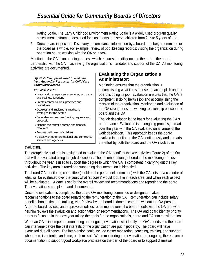Rating Scale. The Early Childhood Environment Rating Scale is a widely used program quality assessment instrument designed for classrooms that serve children from 2 ½ to 5 years of age.

3. Direct board inspection: Discovery of compliance information by a board member, a committee or the board as a whole. For example, review of bookkeeping records; visiting the organization during operation hours; working with the OA on a task.

Monitoring the OA is an ongoing process which ensures due diligence on the part of the board, partnership with the OA in achieving the organization's mandate; and support of the OA. All monitoring activities are documented.

#### **Figure 2:** Example of what to evaluate from Appendix: Resources for Child Care Community Boards

#### KEY ACTIVITIES

- •Leads and manages center services, programs and business functions
- •Creates center policies, practices and procedures
- •Develops and implements marketing strategies for the center
- •Generates and secures funding requests and proposals
- •Manage the center's human and financial resources
- •Ensures well-being of children
- •Liaises with other professional and community services and agencies

## **Evaluating the Organization's Administrator:**

Monitoring ensures that the organization is accomplishing what it is supposed to accomplish and the board is doing its job. Evaluation ensures that the OA is competent in doing her/his job and accomplishing the mission of the organization. Monitoring and evaluation of the OA strengthens the working relationship between the board and the OA.

The job description is the basis for evaluating the OA's performance. Evaluation is an ongoing process, spread over the year with the OA evaluated on all areas of the work description. This approach keeps the board involved in monitoring the OA continuously and spreads the effort by both the board and the OA involved in

#### evaluating.

The group/individual that is designated to evaluate the OA identifies the key activities (figure 2) of the OA that will be evaluated using the job description. The documentation gathered in the monitoring process throughout the year is used to support the degree to which the OA is competent in carrying out the key activities. The key area is rated and supporting documentation is identified.

The board OA monitoring committee (could be the personnel committee) with the OA sets up a calendar of what will be evaluated over the year; what "success" would look like in each area; and when each aspect will be evaluated. A date is set for the overall review and recommendations and reporting to the board. The evaluation is completed and documented.

Once the evaluation is completed, the board OA monitoring committee or designate makes recommendations to the board regarding the remuneration of the OA. Remuneration can include salary, benefits, bonus, time off, training, etc. Review by the board is done in camera, without the OA present. After the board reviews and approves/modifies recommendations, the board meets with the OA and with her/him reviews the evaluation and action taken on recommendations. The OA and board identify priority areas to focus on in the next year taking the goals for the organization's, board and OA into consideration. When an OA is incompetent, monitoring and ongoing evaluation will identify the OA's needs and the board can intervene before the best interests of the organization are put in jeopardy. The board will have exercised due diligence. The intervention could include closer monitoring, coaching, training, and support when there is potential and time; or dismissal. When monitoring and evaluation are ongoing, there is ample documentation to support good workplace practices on the part of the board or to support dismissal.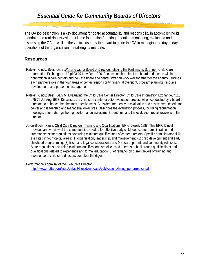The OA job description is a key document for board accountability and responsibility in accomplishing its mandate and realizing its vision. It is the foundation for hiring, orienting, monitoring, evaluating and dismissing the OA as well as the vehicle used by the board to guide the OA in managing the day to day operations of the organization in realizing its mandate.

## **Resources**

- Ratekin, Cindy; Bess, Gary .Working with a Board of Directors: Making the Partnership Stronger. Child Care Information Exchange, n112 p103-07 Nov-Dec 1996. Focuses on the role of the board of directors within nonprofit child care centers and how the board and center staff can work well together for the agency. Outlines each partner's role in the four areas of center responsibility: financial oversight, program planning, resource development, and personnel management.
- Ratekin, Cindy; Bess, Gary M. Evaluating the Child Care Center Director. Child Care Information Exchange, n116 p75-79 Jul-Aug 1997. Discusses the child care center director evaluation process when conducted by a board of directors to enhance the director's effectiveness. Considers frequency of evaluation and assessment criteria for center and leadership and managerial objectives. Describes the evaluation process, including reorientation meetings, information gathering, performance assessment meetings, and the evaluation report review with the director.
- Jorde-Bloom, Paula. Child Care Directors' Training and Qualifications. ERIC Digest, 1988. This ERIC Digest provides an overview of the competencies needed for effective early childhood center administration and summarizes state regulations governing minimum qualifications of center directors. Specific administrator skills are listed in four topical areas: (1) organization, leadership, and management; (2) child development and early childhood programming; (3) fiscal and legal considerations; and (4) board, parent, and community relations. State regulations governing minimum qualifications are discussed in terms of background qualifications and qualifications related to experience and formal education. Brief remarks on current levels of training and experience of child care directors complete the digest.

Performance Appraisal of the Executive Director [http://www.muttart.org/sites/default/files/downloads/publications/hiring\\_performance.pdf](http://www.muttart.org/sites/default/files/downloads/publications/hiring_performance.pdf)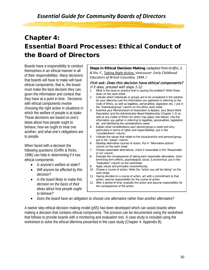## Chapter 4: Essential Board Processes: Ethical Conduct of the Board of Directors

Boards have a responsibility to conduct themselves in an ethical manner in all of their responsibilities. Many decisions that boards will have to make will have ethical components, that is, the board must make the best decision they can, given the information and context that they have at a point in time. Decisions with ethical components involve choosing the right action in situations in which the welfare of people is at stake. These decisions are based on one's ideas about how people ought to behave, how we ought to treat one another, and what one's obligations are to people.

When faced with a decision the following questions (Griffin & Ricks, 1996) can help in determining if it has ethical components:

- *Is anyone's welfare at stake?*
- *Will anyone be affected by this decision?*
- *Is the board likely to make this decision on the basis of their ideas about how people ought to behave?*

**Steps in Ethical Decision Making** (adapted from *Griffin, S. & Rix, F., Taking Right Action, Vancouver: Early Childhood Educators of British Columbia, 1994.*)

#### First ask: Does this decision have ethical components? If it does, proceed with steps 1-12.

- 1. What is the issue or practice that is causing the problem? Write these down on the work sheet.
- 2. Indicate which individuals or groups are to be considered in the solution for your dilemma (use the information you gathered in referring to the Code of Ethics, as well as legalities, personalities, legislation etc, ) put in the "individual/group" column on the ethics work sheet.
- 3. Examine your Memorandum of Association & Bylaws; your Board Work Description and the Administrator-Board Relationship (Chapter 1-3) as well as any Codes of Ethics for which may apply (see below). Use the information you gather in referring to legalities, personalities, legislation etc. and identifying the considerations owed.
- 4. Explain what considerations each person/group is owed and why, particularly in terms of rights and responsibilities, put in the "considerations" column.
- 5. Indicate the values that relate to the issue/practice and persons/group, put in the "values" column.
- 6. Develop alternative courses of action, Put in "Alternative actions" column on the work sheet.
- 7. Choose reasonable alternatives, check if reasonable in the "Reasonable or no" column.
- 8. Evaluate the consequences of taking each reasonable alternative- short term/long term effects, psychological, social, & economical, put in the "evaluation" column on the worksheet.
- 9. Apply values and principles conscientiously.
- 10. Choose a course of action; Write the "action you will be taking" on the work sheet.
- 11. Having decided on a course of action, act with a commitment to that action, assume responsibility for the course of action.
- 12. After a period of time, evaluate the action and assume responsibility for the consequences of the action.
- *Does the board have an obligation to choose one alternative rather than another alternative?*

A twelve step ethical decision making model (p55) has been developed which can assist boards when making a decision that contains ethical components. The process can be documented using the worksheet that follows to provide boards with a monitoring and evaluation tool. A case study is included using the worksheet to solve the ethical dilemma presented in the case study (Chapter 4: Appendix B).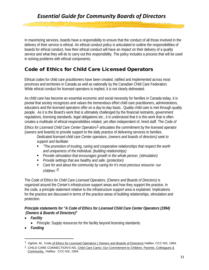In maximizing services, boards have a responsibility to ensure that the conduct of all those involved in the delivery of their service is ethical. An ethical conduct policy is articulated to outline the responsibilities of boards for ethical conduct, how their ethical conduct will have an impact on their delivery of a quality service and what they will do to carry out this responsibility. The policy includes a process that will be used in solving problems with ethical components.

## Code of Ethics for Child Care Licensed Operators

Ethical codes for child care practitioners have been created, ratified and implemented across most provinces and territories in Canada as well as nationally by the Canadian Child Care Federation. While ethical conduct for licensed operators is implied, it is not clearly delineated.

As child care has become an essential economic and social necessity for families in Canada today, it is pivotal that society recognizes and values the tremendous effort child care practitioners, administrators, educators and the licensed operators offer on a day-to-day basis. Quality child care is met through quality people. As it is the Board's work that is ultimately challenged by the financial restraints, government regulations, licensing standards, legal obligations etc., it is understood that it is this work that is often creates a multitude of ethical responsibilities related, yet often independent of, hired staff. The *Code of* 

*Ethics for Licensed Child Care Center Operators*[1](#page-32-0) articulates the commitment by the licensed operator (owners and boards) to provide support to the daily practice of delivering services to families.

*Dedicated licensed child care Center operators, (owners and boards of directors) seek to support and facilitate:*

- *"The promotion of trusting, caring and cooperative relationships that respect the worth and uniqueness of the individual. (building relationships)*
- *Provide stimulation that encourages growth in the whole person. (stimulation)*
- *Provide settings that are healthy and safe. (protection)*
- *Care for and about the community by caring for it's most precious resource- our children."*[2](#page-32-1)

The *Code of Ethics for Child Care Licensed Operators, (Owners and Boards of Directors)* is organized around the Center's infrastructure support areas and how they support the practice. In the code, a principle statement relative to the infrastructure support area is explained. Implications for the practice are discussed in terms of the practice areas of building relationships, stimulation and protection.

## *Principle statements for "A Code of Ethics for Licensed Child Care Center Operators (1994) (Owners & Boards of Directors)"*

- *Facility* 
	- Principle: Supply resources for the facility beyond licensing standards.
- *Funding*

l

<span id="page-32-0"></span><sup>&</sup>lt;sup>1</sup>. Ogilvie, M., Code of Ethics for Licensed Operators (Owners and Boards of Directors) Halifax: CCC-NS, 1994.

<span id="page-32-1"></span><sup>2</sup>. CHILD CARE CONNECTION'S-NS, Child Care Cares: Our Commitment to Children. Parents, Colleagues & Community, Halifax: CCC-NS, 1994.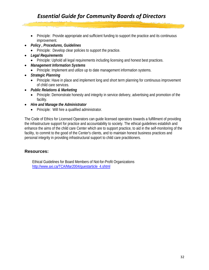- Principle: Provide appropriate and sufficient funding to support the practice and its continuous improvement.
- *Policy , Procedures, Guidelines* 
	- Principle: Develop clear policies to support the practice.
- *Legal Requirements* 
	- Principle: Uphold all legal requirements including licensing and honest best practices.
- *Management Information Systems*
	- Principle: Implement and utilize up to date management information systems.
- *Strategic Planning* 
	- Principle: Have in place and implement long and short term planning for continuous improvement of child care services.
- *Public Relations & Marketing* 
	- Principle: Demonstrate honesty and integrity in service delivery, advertising and promotion of the facility.
- *Hire and Manage the Administrator* 
	- Principle: Will hire a qualified administrator.

The Code of Ethics for Licensed Operators can guide licensed operators towards a fulfillment of providing the infrastructure support for practice and accountability to society. The ethical guidelines establish and enhance the aims of the child care Center which are to support practice, to aid in the self-monitoring of the facility, to commit to the good of the Center's clients, and to maintain honest business practices and personal integrity in providing infrastructural support to child care practitioners.

## **Resources:**

Ethical Guidelines for Board Members of Not-for-Profit Organizations [http://www.axi.ca/TCA/Mar2004/guestarticle\\_4.shtml](http://www.axi.ca/TCA/Mar2004/guestarticle_4.shtml)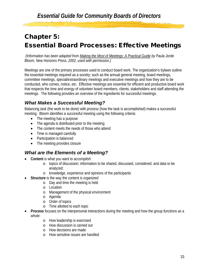## Chapter 5: Essential Board Processes: Effective Meetings

*(Information has been adapted from Making the Most of Meetings: A Practical Guide by Paula Jorde Bloom, New Horizons Press, 2002, used with permission.)* 

Meetings are one of the primary processes used to conduct board work. The organization's bylaws outline the essential meetings required as a society; such as the annual general meeting, board meetings, committee meetings, special/extraordinary meetings and executive meetings and how they are to be conducted, who comes, notice, etc. Effective meetings are essential for efficient and productive board work that respects the time and energy of volunteer board members, clients, stakeholders and staff attending the meetings. The following provides an overview of the ingredients for successful meetings.

## *What Makes a Successful Meeting?*

Balancing *task* (the work to be done) with *process* (how the task is accomplished) makes a successful meeting. Bloom identifies a successful meeting using the following criteria:

- The meeting has a purpose
- The agenda is distributed prior to the meeting
- The content meets the needs of those who attend
- Time is managed carefully
- Participation is balanced
- The meeting provides closure

## *What are the Elements of a Meeting?*

- **Content** is what you want to *accomplish*:
	- o topics of discussion; information to be shared, discussed, considered; and data to be analyzed;
	- o knowledge, experience and opinions of the participants
- **Structure** is the way the content is *organized*:
	- o Day and time the meeting is held
	- o Location
	- o Management of the physical environment
	- o Agenda
	- o Order of topics
	- o Time allotted to each topic
- **Process** focuses on the interpersonal *interactions* during the meeting and how the group *functions as a whole:* 
	- o How leadership is exercised
	- o How discussion is carried out
	- o How decisions are made
	- o How sensitive issues are handled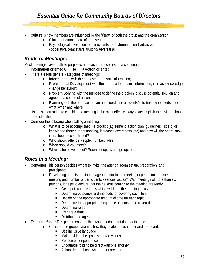- **Culture** is how members are influenced by the *history* of both the group and the organization:
	- o Climate or atmosphere of the event.
	- o Psychological investment of participants- open/formal; friendly/divisive; cooperative/competitive; trusting/adversarial.

## *Kinds of Meetings:*

Most meetings have multiple purposes and each purpose lies on a continuum from

## **Information oriented to Action oriented**

- There are four general categories of meetings:
	- o **Informationa**l with the purpose to transmit information;
	- o **Professional Development** with the purpose to transmit information, increase knowledge, change behaviour;
	- o **Problem Solving** with the purpose to define the problem, discuss potential solution and agree on a course of action;
	- o **Planning** with the purpose to plan and coordinate of events/activities who needs to do what, when and where.

Use this information to consider if a meeting is the most effective way to accomplish the task that has been identified.

- Consider the following when calling a meeting:
	- o **What** is to be accomplished a product (agreement; action plan, guidelines, list etc) or knowledge (better understanding, increased awareness, etc) and how will the board know it has been accomplished?
	- o **Who** should attend? People, number, roles
	- o **When** should you meet?
	- o **Where** should you meet? Room set up, size of group, etc.

## *Roles in a Meeting:*

- **Convener** This person decides whom to invite, the agenda, room set up, preparation, and participants
	- o Developing and distributing an agenda prior to the meeting depends on the type of meeting and number of participants - serious issues? With meetings of more than six persons, it helps to ensure that the persons coming to the meeting are ready.
		- **Get input-choose items which will keep the meeting focused**
		- Determine outcomes and methods for covering each item
		- Decide on the appropriate amount of time for each topic
		- **Determine the appropriate sequence of items to be covered**
		- Determine roles
		- Prepare a draft
		- Distribute the agenda
- **Facilitator/chair** This person ensures that what needs to get done gets done.
	- o Consider the group dynamic, how they relate to each other and the board:
		- **Use inclusive language**
		- Make evident the group's shared values
		- Reinforce independence
		- **Encourage folks to be direct with one another**
		- Acknowledge those who are not present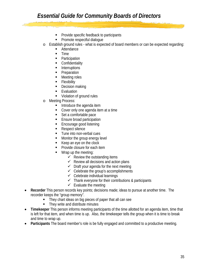- **Provide specific feedback to participants**
- **Promote respectful dialogue**
- o Establish ground rules what is expected of board members or can be expected regarding:
	- Attendance
	- $\blacksquare$  Time
	- Participation
	- **Confidentiality**
	- **Interruptions**
	- **Preparation**
	- **Meeting roles**
	- **Flexibility**
	- Decision making
	- **Exaluation**
	- **Violation of ground rules**
- o Meeting Process:
	- **Introduce the agenda item**
	- Cover only one agenda item at a time
	- Set a comfortable pace
	- **Ensure broad participation**
	- **Encourage good listening**
	- Respect silence
	- **Tune into non-verbal cues**
	- **Monitor the group energy level**
	- $\blacksquare$  Keep an eye on the clock
	- **Provide closure for each item**
	- Wrap up the meeting:
		- $\checkmark$  Review the outstanding items
		- $\checkmark$  Review all decisions and action plans
		- $\checkmark$  Draft your agenda for the next meeting
		- $\checkmark$  Celebrate the group's accomplishments
		- $\checkmark$  Celebrate individual learnings
		- $\checkmark$  Thank everyone for their contributions & participants
		- $\checkmark$  Evaluate the meeting
- **Recorder** This person records key points; decisions made; ideas to pursue at another time. The recorder keeps the "group memory".
	- They chart ideas on big pieces of paper that all can see
	- They write and distribute minutes
- **Timekeeper** This person informs meeting participants of the time allotted for an agenda item, time that is left for that item, and when time is up. Also, the timekeeper tells the group when it is time to break and time to wrap up.
- **Participants** The board member's role is be fully engaged and committed to a productive meeting.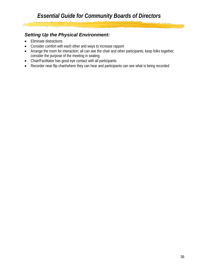## *Setting Up the Physical Environment:*

- Eliminate distractions
- Consider comfort with each other and ways to increase rapport
- Arrange the room for interaction; all can see the chair and other participants; keep folks together; consider the purpose of the meeting in seating
- Chair/Facilitator has good eye contact with all participants
- Recorder near flip chart/where they can hear and participants can see what is being recorded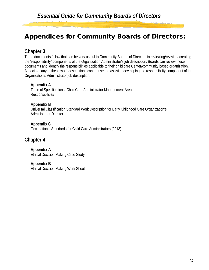## Appendices for Community Boards of Directors:

## **Chapter 3**

Three documents follow that can be very useful to Community Boards of Directors in reviewing/revising/ creating the "responsibility" components of the Organization Administrator's job description. Boards can review these documents and identify the responsibilities applicable to their child care Center/community based organization. Aspects of any of these work descriptions can be used to assist in developing the responsibility component of the Organization's Administrator job description.

## **Appendix A**

Table of Specifications- Child Care Administrator Management Area **Responsibilities** 

## **Appendix B**

Universal Classification Standard Work Description for Early Childhood Care Organization's Administrator/Director

**Appendix C** Occupational Standards for Child Care Administrators (2013)

## **Chapter 4**

**Appendix A**  Ethical Decision Making Case Study

**Appendix B** Ethical Decision Making Work Sheet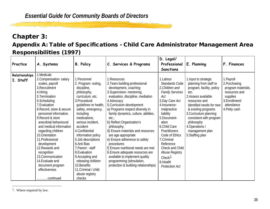## <span id="page-39-0"></span>Chapter 3:

## Appendix A: Table of Specifications - Child Care Administrator Management Area Responsibilities (1997)

| Practice                  | A. Systems                                                                                                                                                                                                                                                                                                                                                                                                                                                                         | <b>B. Policy</b>                                                                                                                                                                                                                                                                                                                                                                                                                                     | C. Services & Programs                                                                                                                                                                                                                                                                                                                                                                                                                                                                                                                                                                                            | D. Legal/<br>Professional<br><b>Sanctions</b>                                                                                                                                                                                                                                                                                                               | E. Planning                                                                                                                                                                                                                                                                                                  | F. Finances                                                                                                                     |
|---------------------------|------------------------------------------------------------------------------------------------------------------------------------------------------------------------------------------------------------------------------------------------------------------------------------------------------------------------------------------------------------------------------------------------------------------------------------------------------------------------------------|------------------------------------------------------------------------------------------------------------------------------------------------------------------------------------------------------------------------------------------------------------------------------------------------------------------------------------------------------------------------------------------------------------------------------------------------------|-------------------------------------------------------------------------------------------------------------------------------------------------------------------------------------------------------------------------------------------------------------------------------------------------------------------------------------------------------------------------------------------------------------------------------------------------------------------------------------------------------------------------------------------------------------------------------------------------------------------|-------------------------------------------------------------------------------------------------------------------------------------------------------------------------------------------------------------------------------------------------------------------------------------------------------------------------------------------------------------|--------------------------------------------------------------------------------------------------------------------------------------------------------------------------------------------------------------------------------------------------------------------------------------------------------------|---------------------------------------------------------------------------------------------------------------------------------|
| Relationships<br>I. Staff | 1.Medicals<br>2. Compensation-salary<br>scales, payroll<br>3. Recruitment<br>4. Hiring<br>5. Termination<br>6.Scheduling<br>7. Evaluation<br>8. Record, store & secure<br>personnel information.<br>9. Record & store<br>anecdotal behavioural<br>and medical information<br>regarding children<br>10. Orientation<br>11. Professional<br>development<br>12. Rewards and<br>recognition<br>13. Communication<br>14. Evaluate and<br>document program<br>effectiveness<br>continued | 1. Personnel<br>2. Program-outing,<br>discipline,<br>philosophy,<br>curriculum, etc.<br>3. Procedural<br>guidelines re health,<br>safety, emergency,<br>including<br>medications,<br>serious incident,<br>accident<br>4. Confidential<br>information policy<br>5.Job descriptions<br>6.Anti Bias<br>7. Parent - staff<br>8. Evaluation<br>9. Accepting and<br>releasing children<br>10. Benefits<br>11. Criminal / child<br>abuse registry<br>checks | 1. Resources<br>2. Team building-professional<br>development, coaching<br>3. Supervision-mentoring,<br>evaluation, discipline, mediation<br>4.Advocacy<br>5. Curriculum development<br>a) Programs respect diversity in<br>family dynamics, culture, abilities,<br>etc.:<br>b) Reflect Organization's<br>philosophy;<br>d) Ensure materials and resources<br>are age appropriate<br>e) Ensure adherence to safety<br>procedures<br>f) Ensure nutritional needs are met<br>6. Ensure adequate resources are<br>available to implement quality<br>programming (stimulation,<br>protection & building relationships) | 1.Labour<br>Standards Code<br>2. Children and<br><b>Family Services</b><br>Act<br>3. Day Care Act<br>4. Insurance-<br>malpractice<br>liability<br>5.Document-<br>ation<br>6.Child Care<br><b>Practitioners</b><br>Code of Ethics<br>7.Criminal<br>Reference<br>Check and Child<br>Abuse Registry<br>Check <sup>1</sup><br>8.Health<br><b>Protection Act</b> | 1. Input to strategic<br>planning from staff re<br>program, facility, policy<br>etc.<br>2. Assess available<br>resources and<br>identified needs for new<br>& existing programs<br>3. Curriculum planning<br>consistent with program<br>philosophy<br>4. Operations /<br>management plan<br>5. Staffing plan | 1. Payroll<br>2. Purchasing<br>program materials,<br>resources and<br>supplies<br>3. Enrollment/<br>attendance<br>4. Petty cash |

<sup>1.</sup> Where required by law.

 $\overline{a}$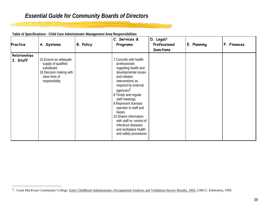| Practice                  | A. Systems                                                                                                                   | <b>B. Policy</b> | C. Services &<br>Programs                                                                                                                                                                                                                                                                                                                                                                                             | D. Legal/<br>Professional<br><b>Sanctions</b> | E. Planning | F. Finances |
|---------------------------|------------------------------------------------------------------------------------------------------------------------------|------------------|-----------------------------------------------------------------------------------------------------------------------------------------------------------------------------------------------------------------------------------------------------------------------------------------------------------------------------------------------------------------------------------------------------------------------|-----------------------------------------------|-------------|-------------|
| Relationships<br>I. Staff | 15. Ensure an adequate<br>supply of qualified<br>substitutes<br>16. Decision making with<br>clear lines of<br>responsibility |                  | 7. Consults with health<br>professionals<br>regarding health and<br>developmental issues<br>and initiates<br>interventions as<br>required by external<br>agencies <sup>2</sup><br>8. Timely and regular<br>staff meetings<br>9. Represent licensed<br>operator to staff and<br>liaises<br>10. Shares information<br>with staff re: control of<br>infectious diseases<br>and workplace health<br>and safety procedures |                                               |             |             |

<span id="page-40-0"></span>سيهدف

**Table of Specifications - Child Care Administrator Management Area Responsibilities** 

 $\overline{a}$ 

<sup>&</sup>lt;sup>2</sup>. Grant MacEwan Community College, Early Childhood Administrator, Occupational Analysis and Validation Survey Results, 1992, GMCC: Edmonton, 1992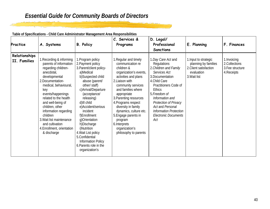| Practice                      | A. Systems                                                                                                                                                                                                                                                                                                                                                                        | <b>B. Policy</b>                                                                                                                                                                                                                                                                                                                                                                                                                  | C. Services &<br>Programs                                                                                                                                                                                                                                                                                                                                                                | D. Legal/<br>Professional<br><b>Sanctions</b>                                                                                                                                                                                                                                                                             | E. Planning                                                                                           | F. Finances                                                      |
|-------------------------------|-----------------------------------------------------------------------------------------------------------------------------------------------------------------------------------------------------------------------------------------------------------------------------------------------------------------------------------------------------------------------------------|-----------------------------------------------------------------------------------------------------------------------------------------------------------------------------------------------------------------------------------------------------------------------------------------------------------------------------------------------------------------------------------------------------------------------------------|------------------------------------------------------------------------------------------------------------------------------------------------------------------------------------------------------------------------------------------------------------------------------------------------------------------------------------------------------------------------------------------|---------------------------------------------------------------------------------------------------------------------------------------------------------------------------------------------------------------------------------------------------------------------------------------------------------------------------|-------------------------------------------------------------------------------------------------------|------------------------------------------------------------------|
| Relationships<br>II. Families | Recording & informing<br>parents of information<br>regarding children-<br>anecdotal,<br>developmental<br>2. Documentation-<br>medical, behavioural,<br>key<br>events/happenings<br>related to the health<br>and well-being of<br>children, other<br>information regarding<br>children<br>3. Wait list maintenance<br>and cultivation<br>4. Enrollment, orientation<br>& discharge | 1. Program policy<br>2. Payment policy<br>3. Parent/client policy-<br>a)Medical<br>b)Suspected child<br>abuse (parent/<br>other/ staff)<br>c) Arrival/Departure<br>(acceptance/<br>releasing)<br>d) III child<br>e)Accident/serious<br>incident<br>f)Enrollment<br>q)Orientation<br>h)Discharge<br>i)Nutrition<br>4. Wait List policy<br>5. Confidential<br><b>Information Policy</b><br>6. Parents role in the<br>organization's | 1. Regular and timely<br>communication re<br>children &<br>organization's events,<br>activities and plans<br>2. Liaison with<br>community services<br>and families where<br>appropriate<br>3. Parenting resources<br>4. Programs respect<br>diversity in family<br>dynamics, culture etc.<br>5. Engage parents in<br>program<br>6. Interprets<br>organization's<br>philosophy to parents | 1.Day Care Act and<br>Regulations<br>2. Children and Family<br>Services Act<br>3. Documentation<br>4. Child Care<br>Practitioners Code of<br><b>Ethics</b><br>5. Freedom of<br>Information and<br>Protection of Privacy<br><b>Act and Personal</b><br><b>Information Protection</b><br><b>Electronic Documents</b><br>Act | 1. Input to strategic<br>planning by families<br>2. Client satisfaction<br>evaluation<br>3. Wait list | 1. Invoicing<br>2.Collections<br>3. Fee structure<br>4. Receipts |

متعقف

**Table of Specifications - Child Care Administrator Management Area Responsibilities**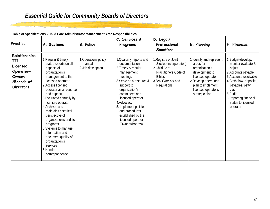**Practice A. Systems B. Policy C. Services & Programs D. Legal/ Professional Sanctions E. Planning F. Finances Relationships III. Licensed Operator-Owners /Boards of Directors** 1.Regular & timely status reports on all aspects of organization's management to the licensed operator 2.Access licensed operator as a resource and support 3.Evaluated annually by licensed operator 4.Archives and maintains historical perspective of organization's and its programs 5.Systems to manage information and document quality of organization's services 6.Handle correspondence 1.Operations policy manual 2.Job description 1.Quarterly reports and documentation 2.Timely & regular management meetings 3.Serve as a resource & support to organization's committees and licensed operator 4.Advocacy 5. Implement policies and procedures established by the licensed operator (Owners/Boards) 1.Registry of Joint Stocks (Incorporation) 2.Child Care Practitioners Code of **Ethics** 3.*Day Care Act* and **Regulations** 1.Identify and represent areas for organization's development to licensed operator 2.Develop operations plan to implement licensed operator's strategic plan 1.Budget-develop, monitor evaluate & adjust 2.Accounts payable 3.Accounts receivable 4.Cash flow- deposits, payables, petty cash 5.Audit 6.Reporting financial status to licensed operator

**Table of Specifications - Child Care Administrator Management Area Responsibilities**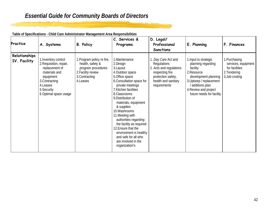| Practice                      | A. Systems                                                                                                                                                            | <b>B. Policy</b>                                                                                                          | C. Services &<br>Programs                                                                                                                                                                                                                                                                                                                                                                                                                       | D. Legal/<br>Professional<br><b>Sanctions</b>                                                                                                        | E. Planning                                                                                                                                                                                       | F. Finances                                                                             |
|-------------------------------|-----------------------------------------------------------------------------------------------------------------------------------------------------------------------|---------------------------------------------------------------------------------------------------------------------------|-------------------------------------------------------------------------------------------------------------------------------------------------------------------------------------------------------------------------------------------------------------------------------------------------------------------------------------------------------------------------------------------------------------------------------------------------|------------------------------------------------------------------------------------------------------------------------------------------------------|---------------------------------------------------------------------------------------------------------------------------------------------------------------------------------------------------|-----------------------------------------------------------------------------------------|
| Relationships<br>IV. Facility | I. Inventory control<br>2. Requisition, repair,<br>replacement of<br>materials and<br>equipment<br>3. Contracting<br>4.Leases<br>5. Security<br>6 Optimal space usage | 1. Program policy re fire,<br>health, safety &<br>program procedures<br>2. Facility review<br>3. Contracting<br>4. Leases | 1. Maintenance<br>2.Design<br>3. Layout<br>4. Outdoor space<br>5.Office space<br>6. Consultation space for<br>private meetings<br>7. Kitchen facilities<br>8.Classrooms<br>9. Distribution of<br>materials, equipment<br>& supplies<br>10. Washrooms<br>11. Meeting with<br>authorities regarding<br>the facility as required<br>12. Ensure that the<br>environment is healthy<br>and safe for all who<br>are involved in the<br>organization's | 1. Day Care Act and<br><b>Regulations</b><br>2. Acts and regulations<br>respecting fire<br>protection safety,<br>health and sanitary<br>requirements | 1. Input to strategic<br>planning regarding<br>facility<br>2. Resource<br>development planning<br>3. Upkeep / replacement<br>additions plan<br>4. Review and project<br>future needs for facility | 1. Purchasing<br>services, equipment<br>for facilities<br>2. Tendering<br>3.Job costing |

<u>is bean</u>

**Table of Specifications - Child Care Administrator Management Area Responsibilities**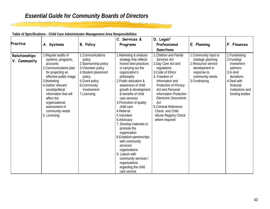| Table of Specifications - Child Care Administrator Management Area Responsibilities |  |
|-------------------------------------------------------------------------------------|--|
|                                                                                     |  |

|                               |                                                                                                                                                                                                                                                                                                        |                                                                                                                                                                                 | C. Services &                                                                                                                                                                                                                                                                                                                                                                                                                                                                                                                                                                    | D. Legal/                                                                                                                                                                                                                                                                                                                                    |                                                                                                                                           |                                                                                                                                                     |
|-------------------------------|--------------------------------------------------------------------------------------------------------------------------------------------------------------------------------------------------------------------------------------------------------------------------------------------------------|---------------------------------------------------------------------------------------------------------------------------------------------------------------------------------|----------------------------------------------------------------------------------------------------------------------------------------------------------------------------------------------------------------------------------------------------------------------------------------------------------------------------------------------------------------------------------------------------------------------------------------------------------------------------------------------------------------------------------------------------------------------------------|----------------------------------------------------------------------------------------------------------------------------------------------------------------------------------------------------------------------------------------------------------------------------------------------------------------------------------------------|-------------------------------------------------------------------------------------------------------------------------------------------|-----------------------------------------------------------------------------------------------------------------------------------------------------|
| Practice                      | A. Systems                                                                                                                                                                                                                                                                                             | <b>B. Policy</b>                                                                                                                                                                | Programs                                                                                                                                                                                                                                                                                                                                                                                                                                                                                                                                                                         | Professional                                                                                                                                                                                                                                                                                                                                 | E. Planning                                                                                                                               | F. Finances                                                                                                                                         |
|                               |                                                                                                                                                                                                                                                                                                        |                                                                                                                                                                                 |                                                                                                                                                                                                                                                                                                                                                                                                                                                                                                                                                                                  | <b>Sanctions</b>                                                                                                                                                                                                                                                                                                                             |                                                                                                                                           |                                                                                                                                                     |
| Relationships<br>V. Community | 1. Regular audits of<br>systems, programs,<br>accounts<br>2. Communications plan<br>for projecting an<br>effective public image<br>3. Marketing<br>4. Gather relevant<br>social/political<br>information that will<br>affect the<br>organizational<br>assessment of<br>community needs<br>5. Licensing | 1. Communications<br>policy<br>2. Sponsorship policy<br>3. Volunteer policy<br>4. Student placement<br>policy<br>5. Grant policy<br>6. Community<br>involvement<br>7. Licensing | 1. Marketing & analysis<br>strategy that reflects<br>honest best practices<br>in carrying out the<br>organization's<br>philosophy<br>2. Public education &<br>awareness of child<br>growth & development<br>& benefits of child<br>care services<br>3. Promotion of quality<br>child care<br>4. Referral<br>5. Volunteer<br>6.Advocacy<br>7. Develop materials to<br>promote the<br>organization<br>8. Establish partnerships<br>with community<br>services/<br>organizations<br>9. Liaison with<br>community services /<br>organizations<br>regarding the child<br>care service | Children and Family<br>Services Act<br>2. Day Care Act and<br>regulations<br>3. Code of Ethics<br>4. Freedom of<br>Information and<br>Protection of Privacy<br>Act and Personal<br><b>Information Protection</b><br><b>Electronic Documents</b><br>Act<br>5. Criminal Reference<br>Check and Child<br>Abuse Registry Check<br>where required | 1. Community input to<br>strategic planning<br>2. Resource/ service<br>development in<br>response to<br>community needs<br>3. Fundraising | 1. Fundraising<br>2.Funding/<br>investment<br>partners<br>3.In kind<br>donations<br>4. Deal with<br>financial<br>institutions and<br>funding bodies |

<u>i statu</u>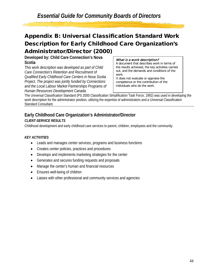## Appendix B: Universal Classification Standard Work Description for Early Childhood Care Organization's Administrator/Director (2000)

**Developed by: Child Care Connection's Nova Scotia** 

*This work description was developed as part of Child Care Connection's Retention and Recruitment of Qualified Early Childhood Care Centers in Nova Scotia Project. The project was jointly funded by Connections and the Local Labour Market Partnerships Programs of Human Resources Development Canada.* 

#### What is a work description?

A document that describes work in terms of the results achieved, the key activities carried out, and the demands and conditions of the work.

It does not evaluate or appraise the competence or the contribution of the individuals who do the work.

The Universal Classification Standard (PS 2000 Classification Simplification Task Force, 1992) was used in developing the work description for the administrator position, utilizing the expertise of administrators and a Universal Classification Standard Consultant.

## **Early Childhood Care Organization's Administrator/Director**

## *CLIENT-SERVICE RESULTS*

Childhood development and early childhood care services to parent, children, employees and the community.

## *KEY ACTIVITIES*

- Leads and manages center services, programs and business functions
- Creates center policies, practices and procedures
- Develops and implements marketing strategies for the center
- Generates and secures funding requests and proposals
- Manage the center's human and financial resources
- Ensures well-being of children
- Liaises with other professional and community services and agencies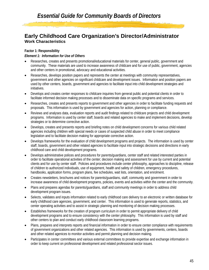## **Early Childhood Care Organization's Director/Administrator Work Characteristics**

### **Factor 1: Responsibility**

#### *Element 1: Information for Use of Others*

- Researches, creates and presents promotional/educational materials for center, general public, government and community. These materials are used to increase awareness of childcare and for use of public, government, agencies and other centers in promotional, advocacy and educational activities.
- Researches, develops position papers and represents the center at meetings with community representatives, government and other agencies on significant childcare and development issues. Information and position papers are used by other centers, boards, government and agencies to facilitate input into child development strategies and initiatives.
- Develops and creates center responses to childcare inquiries from general public and potential clients in order to facilitate informed decision making processes and to disseminate data on specific programs and services.
- Researches, creates and presents reports to government and other agencies in order to facilitate funding requests and proposals. This information is used by government and agencies for action, planning or compliance.
- Reviews and analyses data, evaluation reports and audit findings related to childcare projects and child development programs. Information is used by center staff, boards and related agencies to make and implement decisions, develop strategies or to determine corrective action.
- Develops, creates and presents reports and briefing notes on child development concerns for various child related agencies including children with special needs or cases of suspected child abuse in order to meet compliance legislation and to facilitate decision making for appropriate corrective action.
- Develops frameworks for the evaluation of child development programs and projects. The information is used by center staff, boards, government and other related agencies to facilitate input into strategic decisions and directions in early childhood care and child development programs.
- Develops administrative polices and procedures for parents/guardians, center staff and related interested parties in order to facilitate operational activities of the center; decision making and assessment for use by current and potential clients and for use by center staff. Policies and procedures include center philosophy, approaches to discipline, release of children to authorized individuals, use of equipment, health and safety of children, emergency procedures, handbooks, application forms, program plans, fee schedules, wait lists, orientation, and enrolment.
- Creates newsletters, brochures and notices for parents/guardians, staff, community and government in order to increase awareness of child development programs, policies, events and activities within the center and the community.
- Plans and prepares agendas for parents/guardians, staff and community meetings in order to address child development program issues.
- Selects, validates and inputs information related to early childhood care delivery to an electronic or written database for early childhood care agencies, government, and center. This information is used to generate reports, statistics, and center operating activities and to assist in strategic planning and monitoring of decision making processes.
- Establishes frameworks for the creation of program curriculum in order to permit appropriate delivery of child development programs and to ensure consistency with the center philosophy. This information is used by staff and other centers to plan and conduct early childhood classroom learning programs.
- Plans, prepares and interprets reports and financial information in order to ensure center compliance with requirements of government organizations and other related agencies. This information is used by governments, centers, boards and other related agenices to monitor activities and permit planning and decision making.
- Participates in center committees and various external committees to provide expertise and exchange information in order to keep current on professional development and related professional sector issues.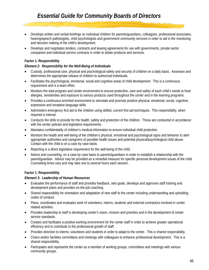- Develops written and verbal briefings on individual children for parents/guardians, colleagues, professional associates, hearing/speech pathologists, child psychologists and government community services in order to aid in the monitoring and decision making of the child's development.
- Develops and negotiates tenders, contracts and leasing agreements for use with governments, private sector companies and individual service contracts in order to obtain products and services.

#### **Factor 1: Responsibility**

#### *Element 2: Responsibility for the Well-Being of Individuals*

- Custody, professional care, physical and psychological safety and security of children on a daily basis. Assesses and determines the appropriate release of children to authorized individuals.
- Facilitates the psychological, emotional, social and cognitive areas of child development. This is a continuous requirement and is a team effort.
- Monitors the total program and center environment to ensure protection, care and safety of each child's needs to food allergies, sensitivities and exposure to various products used throughout the center and in the learning programs.
- Provides a continuous enriched environment to stimulate and promote positive physical, emotional, social, cognitive, expressive and receptive language skills.
- Administers emergency first aid to the children using skilled, current first aid techniques. This responsibility, when required is intense.
- Conducts fire drills to provide for the health, safety and protection of the children. These are conducted in accordance with the center policies and legislative requirements.
- Maintains confidentiality of children's medical information to ensure individual child protection.
- Monitors the health and well-being of the children's physical, emotional and psychological signs and behavior to alert appropriate authorities and caregivers of possible health issues and potential physical/psychological child abuse. Contact with the child is on a case by case basis.
- Reporting is a direct legislative requirement for the well-being of the child.
- Advice and counseling, on a case by case basis to parents/guardians in order to establish a relationship with the parent/guardian. Advice may be provided as a remedial measure for specific personal development issues of the child. Counseling times vary and may take one to several hours each session.

#### **Factor 1: Responsibility**

#### *Element 3: Leadership of Human Resources*

- Evaluates the performance of staff and provides feedback, sets goals, develops and approves staff training and development plans and provides on-the-job coaching.
- Shared responsibility for orientation and adaptation of new staff to the center including understanding and upholding codes of conduct.
- Plans, coordinates and evaluates work of volunteers, interns, students and external contractors involved in center related activities.
- Provides leadership to staff in developing center's vision, mission and priorities and in the development of center service standards.
- Creates and facilitates a positive working environment for the center staff in order to achieve greater operational efficiency and to contribute to the professional growth of staff.
- Provides direction to interns, volunteers and students in order to adapt to the center. This is shared responsibility.
- Chairs and/or facilities committees and meetings with colleagues to enhance professional development. This is a shared responsibility.
- Participates and represents the center as a member of working groups, committees and meetings with various community groups.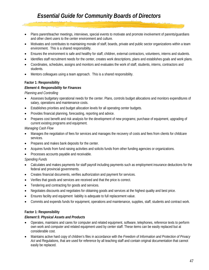- Plans parent/teacher meetings, interviews, special events to motivate and promote involvement of parents/guardians and other client users to the center environment and culture.
- Motivates and contributes to maintaining morale of staff, boards, private and public sector organizations within a team environment. This is a shared responsibility.
- Ensures the environment is safe and healthy for staff, children, external contractors, volunteers, interns and students.
- Identifies staff recruitment needs for the center, creates work descriptions, plans and establishes goals and work plans.
- Coordinates, schedules, assigns and monitors and evaluates the work of staff, students, interns, contractors and students.
- Mentors colleagues using a team approach. This is a shared responsibility.

#### **Factor 1: Responsibility**

#### *Element 4: Responsibility for Finances*

*Planning and Controlling*

- Assesses budgetary operational needs for the center. Plans, controls budget allocations and monitors expenditures of salary, operations and maintenance costs.
- Establishes priorities and budget allocation levels for all operating center budgets.
- Provides financial planning, forecasting, reporting and advice.
- Prepares cost benefit and risk analysis for the development of new programs; purchase of equipment, upgrading of current existing programs and equipment.

*Managing Cash Flow*

- Manages the negotiation of fees for services and manages the recovery of costs and fees from clients for childcare services.
- Prepares and makes bank deposits for the center.
- Acquires funds from fund raising activities and solicits funds from other funding agencies or organizations.
- Processes accounts payable and receivable.

*Spending Funds*

- Calculates and makes payments for staff payroll including payments such as employment insurance deductions for the federal and provincial governments.
- Creates financial documents, verifies authorization and payment for services.
- Verifies that goods and services are received and that the price is correct.
- Tendering and contracting for goods and services.
- Negotiates discounts and negotiates for obtaining goods and services at the highest quality and best price.
- Ensures facility and equipment liability is adequate to full replacement value.
- Commits and expends funds for equipment, operations and maintenance, supplies, staff, students and contract work.

#### **Factor 1: Responsibility**

#### *Element 5: Physical Assets and Products*

- Operates, maintains and cares for computer and related equipment, software, telephones, reference texts to perform own work and computer and related equipment used by center staff. These items can be easily replaced but at considerable cost.
- Maintains active hard copy of children's files in accordance with the *Freedom of Information and Protection of Privacy*  Act and Regulations, that are used for reference by all teaching staff and contain original documentation that cannot easily be replaced.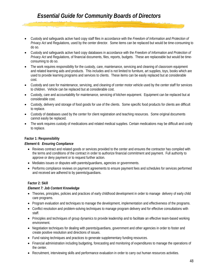- Custody and safeguards active hard copy staff files in accordance with the *Freedom of Information and Protection of Privacy Act* and Regulations, used by the center director. Some items can be replaced but would be time-consuming to do so.
- Custody and safeguards active hard copy databases in accordance with the *Freedom of Information and Protection of Privacy Act* and Regulations, of financial documents, files, reports, budgets. These are replaceable but would be timeconsuming to do so.
- The work requires responsibility for the custody, care, maintenance, servicing and cleaning of classroom equipment and related learning aids and products. This includes and is not limited to furniture, art supplies, toys, books which are used to provide learning programs and services to clients. These items can be easily replaced but at considerable cost.
- Custody and care for maintenance, servicing, and cleaning of center motor vehicle used by the center staff for services to children. Vehicle can be replaced but at considerable cost.
- Custody, care and accountability for maintenance, servicing of kitchen equipment. Equipment can be replaced but at considerable cost.
- Custody, delivery and storage of food goods for use of the clients. Some specific food products for clients are difficult to replace.
- Custody of databases used by the center for client registration and teaching resources. Some original documents cannot easily be replaced.
- The work requires custody of medications and related medical supplies. Certain medications may be difficult and costly to replace.

## **Factor 1: Responsibility**

#### *Element 6: Ensuring Compliance*

- Reviews contract and related goods or services provided to the center and ensures the contractor has compiled with the terms and conditions of the contract in order to authorize financial commitment and payment. Full authority to approve or deny payment or to request further action.
- Mediates issues or disputes with parents/guardians, agencies or governments.
- Performs compliance reviews on payment agreements to ensure payment fees and schedules for services performed and received are adhered to by parents/guardians.

#### **Factor 2: Skill**

#### *Element 7: Job Content Knowledge*

- Theories, principles, policies and practices of early childhood development in order to manage delivery of early child care programs.
- Program evaluation and techniques to manage the development, implementation and effectiveness of the programs.
- Conflict resolution and problem-solving techniques to manage program delivery and for effective consultations with staff.
- Principles and techniques of group dynamics to provide leadership and to facilitate an effective team-based working environment.
- Negotiation techniques for dealing with parents/guardians, government and other agencies in order to foster and create positive resolution and directions of issues.
- Fund raising techniques and practices to generate supplementary funding resources.
- Financial administration including budgeting, forecasting and monitoring of expenditures to manage the operations of the center.
- Recruitment, interviewing skills and performance evaluation in order to carry out human resources activities.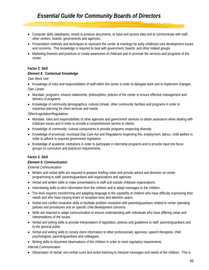- Computer skills (databases, email) to produce documents, to input and access data and to communicate with staff, other centers, boards, governments and agencies.
- Presentation methods and techniques to represent the center at meetings for early childhood care development issues and concerns. This knowledge is required to deal with government, boards, and other related groups.
- Marketing theories and practices to create awareness of childcare and to promote the services and programs of the center.

#### **Factor 2: Skill**

#### *Element 8: Contextual Knowledge*

*Own Work Unit*

- Knowledge of roles and responsibilities of staff within the center in order to delegate work and to implement changes. *Own Center*
- Mandate, programs, mission statements, philosophies, policies of the center to ensure effective management and delivery of programs.
- Knowledge of community demographics, cultural climate, other community facilities and programs in order to maximize planning for client services and needs.

#### *Other/Legislation/Regulations*

- Mandate, roles and responsibilities of other agencies and government services to obtain assistance when dealing with childcare issues and in order to provide a comprehensive service to clients.
- Knowledge of community, cultural components to provide programs respecting diversity.
- Knowledge of provincial, municipal *Day Care Act* and Regulations respecting fire, employment, labour, child welfare in order to adhere to required government legislation.
- Knowledge of academic institutions in order to participate in internship programs and to provide input into focus groups on curriculum and practicum requirements.

#### **Factor 2: Skill**

#### *Element 9: Communication*

*External Communication*

- Written and verbal skills are required to prepare briefing notes and provide advice and direction on center programming to staff, parents/guardians and organizations and agencies.
- Verbal and written skills to make presentations to staff and outside childcare organizations.
- Interviewing skills to elicit information from the children and to adapt messages to the children.
- The work requires transforming and adapting language to the capability of children who have difficulty expressing their needs and who have varying levels of receptive-ness and attention spans.
- Verbal and conflict resolution skills to facilitate problem resolution with parents/guardians related to center operating policies and procedures and on specific child development concerns.
- Skills are required to adapt communication to ensure understanding with individuals who have differing views and interpretations of the issues.
- Verbal and writing skills to provide interpretation of legislation, policies and guidelines to staff, parents/guardians and to the general public.
- Verbal and writing skills to convey client information to other professionals, agencies, speech therapists, child psychologists, parents/guardians and colleagues.
- Writing skills to document observations of the children in order to meet regulatory requirements.
- *Internal Communication*
- Observation of verbal, non-verbal cures and active listening to interpret messages and needs of the children. This is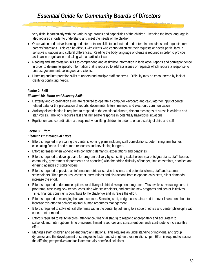very difficult particularly with the various age groups and capabilities of the children. Reading the body language is also required in order to understand and meet the needs of the children.

- Observation and active listening and interpretation skills to understand and determine enquiries and requests from parents/guardians. This can be difficult with clients who cannot articulate their requests or needs particularly in sensitive situations and cultural differences. Reading the body language of clients is required in order to provide assistance or guidance in dealing with a particular issue.
- Reading and interpretation skills to comprehend and assimilate information in legislative, reports and correspondence in order to determine specific information that is required to address issues or requests which require a response to boards, government, colleagues and clients.
- Listening and interpretation skills to understand multiple staff concerns. Difficulty may be encountered by lack of clarity or conflicting needs.

#### **Factor 2: Skill**

#### *Element 10: Motor and Sensory Skills*

- Dexterity and co-ordination skills are required to operate a computer keyboard and calculator for input of center related data for the preparation of reports, documents, letters, memos, and electronic communication.
- Auditory discrimination is required to respond to the emotional climate, discern messages of stress in children and staff voices. The work requires fast and immediate response in potentially hazardous situations.
- Equilibrium and co-ordination are required when lifting children in order to ensure safety of child and self.

#### **Factor 3: Effort**

#### *Element 11: Intellectual Effort*

- Effort is required in preparing the center's working plans including staff consultations, determining time frames, calculating financial and human resources and developing budgets.
- Effort increases when working with conflicting demands, expectations and deadlines.
- Effort is required to develop plans for program delivery by consulting stakeholders (parents/guardians, staff, boards, community, government departments and agencies) with the added difficulty of budget, time constraints, priorities and differing agendas of stakeholders.
- Effort is required to provide an information retrieval service to clients and potential clients, staff and external stakeholders. Time pressures, constant interruptions and distractions from telephone calls, staff, client demands increase the effort.
- Effort is required to determine options for delivery of child development programs. This involves evaluating current programs, assessing new trends, consulting with stakeholders, and creating new programs and center initiatives. Time, financial constraints contribute to the challenge and increase the effort.
- Effort is required in managing human resources. Selecting staff, budget constraints and turnover levels contribute to increase this effort to achieve optimal human resources management.
- Effort is required to solve ethical dilemmas within the center by adhering to a code of ethics and center philosophy with concurrent demands.
- Effort is required to verify records (attendance, financial status) to respond appropriately and accurately to stakeholders. Interruptions, time pressures, limited resources and concurrent demands contribute to increase this effort.
- Manages staff, children and parent/guardian relations. This requires an understanding of individual and group dynamics and the development of strategies to foster and strengthen these relationships. Effort is required to assess the differing perspectives and facilitate mutually beneficial solutions.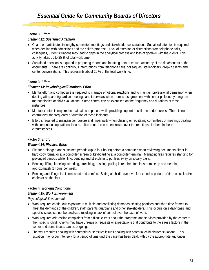### **Factor 3: Effort**

#### *Element 12: Sustained Attention*

- Chairs or participates in lengthy committee meetings and stakeholder consultations. Sustained attention is required when dealing with admissions and the child's progress. Lack of attention or distractions from telephone calls, colleagues, urgent situations may lead to gaps in the analytical process and loss of goodwill with the clients. This activity takes up to 25 % of total work time.
- Sustained attention is required in preparing reports and inputting data to ensure accuracy of the data/content of the documents. There are continuous interruptions from telephone calls, colleagues, stakeholders, drop-in clients and center conversations. This represents about 20 % of the total work time.

#### **Factor 3: Effort**

#### *Element 13: Psychological/Emotional Effort*

- Mental effort and composure is required to manage emotional reactions and to maintain professional demeanor when dealing with parent/guardian meetings and interviews when there is disagreement with center philosophy, program methodologies or child evaluations. Some control can be exercised on the frequency and durations of these instances.
- Mental exertion is required to maintain composure while providing support to children under duress. There is not control over the frequency or duration of these incidents.
- Effort is required to maintain composure and impartiality when chairing or facilitating committees or meetings dealing with contentious operational issues. Little control can be exercised over the reactions of others in these circumstances.

## **Factor 3: Effort**

#### *Element 14: Physical Effort*

- Sits for prolonged and sustained periods (up to four hours) before a computer when reviewing documents either in hard copy format or at a computer screen or keyboarding at a computer terminal. Managing files requires standing for prolonged periods while filing, bending and stretching to put files away on a daily basis.
- Bending, lifting, kneeling, standing, stretching, pushing, pulling is required for classroom setup and cleaning, approximately 2 hours per week.
- Bending and lifting of children to aid and comfort. Sitting at child's eye level for extended periods of time on child size chairs or on the floor.

## **Factor 4: Working Conditions**

#### *Element 15: Work Environment*

*Psychological Environment*

- Work requires continuous exposure to multiple and conflicting demands, shifting priorities and short time frames to meet the demands of the children, staff, parents/guardians and other stakeholders. This occurs on a daily basis and specific issues cannot be predicted resulting in lack of control over the pace of work.
- Work requires addressing complaints from difficult clients about the programs and services provided by the center to their specific child. Clients may have unrealistic requests or expectations that contribute to the stress factors in the center and some issues can be ongoing.
- The work requires dealing with contentious, sensitive issues dealing with potential child abuses situations. This situation may occur intensely for a period of time until the case has been dealt with by the appropriate authorities.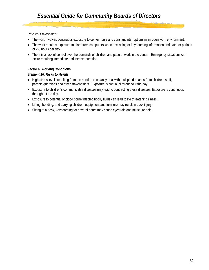### *Physical Environment*

- The work involves continuous exposure to center noise and constant interruptions in an open work environment.
- The work requires exposure to glare from computers when accessing or keyboarding information and data for periods of 2-3 hours per day.
- There is a lack of control over the demands of children and pace of work in the center. Emergency situations can occur requiring immediate and intense attention.

#### **Factor 4: Working Conditions**

#### *Element 16: Risks to Health*

- High stress levels resulting from the need to constantly deal with multiple demands from children, staff, parents/guardians and other stakeholders. Exposure is continual throughout the day.
- Exposure to children's communicable diseases may lead to contracting these diseases. Exposure is continuous throughout the day.
- Exposure to potential of blood borne/infected bodily fluids can lead to life threatening illness.
- Lifting, bending, and carrying children, equipment and furniture may result in back injury.
- Sitting at a desk, keyboarding for several hours may cause eyestrain and muscular pain.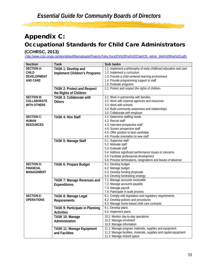## Appendix C:

## Occupational Standards for Child Care Administrators

## **(CCHRSC, 2013)**

[<http://www.ccsc-cssge.ca/sites/default/files/uploads/Projects-Pubs-Docs/EN%20Pub%20Chart/OS\\_Admin\\_Web%28final%29.pdf>](http://www.ccsc-cssge.ca/sites/default/files/uploads/Projects-Pubs-Docs/EN%20Pub%20Chart/OS_Admin_Web%28final%29.pdf) 

| <b>Section</b>     | <b>Task</b>                          | <b>Sub tasks</b>                                                                     |
|--------------------|--------------------------------------|--------------------------------------------------------------------------------------|
| <b>SECTION A:</b>  | TASK 1: Develop and                  | 1.1: Implement a philosophy of early childhood education and care                    |
| <b>CHILD</b>       | <b>Implement Children's Programs</b> | 1.2: Implement a curriculum                                                          |
| <b>DEVELOPMENT</b> |                                      | 1.3: Provide a child-centered learning environment                                   |
| <b>AND CARE</b>    |                                      | 1.4: Provide programming support to staff                                            |
|                    |                                      | 1.5: Evaluate programs                                                               |
|                    | <b>TASK 2: Protect and Respect</b>   | 2.1: Protect and respect the rights of children.                                     |
|                    | the Rights of Children               |                                                                                      |
| <b>SECTION B:</b>  | <b>TASK 3: Collaborate with</b>      | 3.1: Work in partnership with families                                               |
| COLLABORATE        | <b>Others</b>                        | 3.2: Work with external agencies and resources                                       |
| <b>WITH OTHERS</b> |                                      | 3.3: Work with schools                                                               |
|                    |                                      | 3.4: Build community awareness and relationships                                     |
|                    |                                      | 3.5: Collaborate with employer                                                       |
| <b>SECTION C:</b>  | <b>TASK 4: Hire Staff</b>            | 4.1: Determine staffing needs                                                        |
| <b>HUMAN</b>       |                                      | 4.2: Recruit staff                                                                   |
| <b>RESOURCES</b>   |                                      | 4.3: Interview prospective staff                                                     |
|                    |                                      | 4.4: Screen prospective staff                                                        |
|                    |                                      | 4.5: Offer position to best candidate                                                |
|                    |                                      | 4.6: Provide orientation to new staff                                                |
|                    | TASK 5: Manage Staff                 | 5.1: Supervise staff                                                                 |
|                    |                                      | 5.2: Motivate staff                                                                  |
|                    |                                      | 5.3: Evaluate staff                                                                  |
|                    |                                      | 5.4: Address significant performance issues or concerns                              |
|                    |                                      | 5.5: Facilitate professional development                                             |
| <b>SECTION D:</b>  |                                      | 5.6: Process terminations, resignations and leaves of absence<br>6.1: Develop budget |
| <b>FINANCIAL</b>   | TASK 6: Prepare Budget               | 6.2: Manage budget                                                                   |
| <b>MANAGEMENT</b>  |                                      | 6.3: Develop funding proposals                                                       |
|                    |                                      | 6.4: Develop fundraising strategy                                                    |
|                    | TASK 7: Manage Revenues and          | 7.1: Manage accounts receivable                                                      |
|                    | Expenditures                         | 7.2: Manage accounts payable                                                         |
|                    |                                      | 7.3: Manage payroll                                                                  |
|                    |                                      | 7.4: Participate in audit process                                                    |
| <b>SECTION E:</b>  | TASK 8: Manage Legal                 | 8.1: Comply with legislation and regulatory requirements                             |
| <b>OPERATIONS</b>  | Requirements                         | 8.2: Develop policies and procedures                                                 |
|                    |                                      | 8.3: Manage home-based child care contracts                                          |
|                    | TASK 9: Participate in Planning      | 9.1: Develop plans                                                                   |
|                    | <b>Activities</b>                    | 9.2: Implement plans                                                                 |
|                    | TASK 10: Manage                      | 10.1: Monitor day-to-day operations                                                  |
|                    | Administration                       | 10.2: Manage enrolment                                                               |
|                    |                                      | 10.3: Manage information                                                             |
|                    | TASK 11: Manage Equipment            | 11.1: Manage program materials, supplies and equipment                               |
|                    | and Facilities                       | 11.2: Manage facilities, materials, supplies and capital equipment                   |
|                    |                                      | 11.3: Manage shared space                                                            |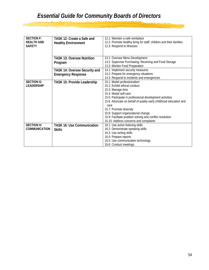$\frac{1}{\sqrt{2}}$ 

| <b>SECTION F:</b><br><b>HEALTH AND</b><br><b>SAFETY</b> | TASK 12: Create a Safe and<br><b>Healthy Environment</b> | 12.1: Maintain a safe workplace<br>12.2: Promote healthy living for staff, children and their families<br>12.3: Respond to illnesses |
|---------------------------------------------------------|----------------------------------------------------------|--------------------------------------------------------------------------------------------------------------------------------------|
|                                                         | <b>TASK 13: Oversee Nutrition</b>                        | 13.1: Oversee Menu Development                                                                                                       |
|                                                         | Program                                                  | 13.2: Supervise Purchasing, Receiving and Food Storage                                                                               |
|                                                         |                                                          | 13.3: Monitor Food Preparation                                                                                                       |
|                                                         | <b>TASK 14: Oversee Security and</b>                     | 14.1: Implement security measures                                                                                                    |
|                                                         | <b>Emergency Response</b>                                | 14.2: Prepare for emergency situations                                                                                               |
|                                                         |                                                          | 14.3: Respond to incidents and emergencies                                                                                           |
| <b>SECTION G:</b>                                       | <b>TASK 15: Provide Leadership</b>                       | 15.1: Model professionalism                                                                                                          |
| <b>LEADERSHIP</b>                                       |                                                          | 15.2: Exhibit ethical conduct                                                                                                        |
|                                                         |                                                          | 15.3: Manage time                                                                                                                    |
|                                                         |                                                          | 15.4: Model self-care                                                                                                                |
|                                                         |                                                          | 15.5: Participate in professional development activities                                                                             |
|                                                         |                                                          | 15.6: Advocate on behalf of quality early childhood education and                                                                    |
|                                                         |                                                          | care                                                                                                                                 |
|                                                         |                                                          | 15.7: Promote diversity                                                                                                              |
|                                                         |                                                          | 15.8: Support organizational change<br>15.9: Facilitate problem solving and conflict resolution                                      |
|                                                         |                                                          | 15.10: Address concerns and complaints                                                                                               |
| <b>SECTION H:</b>                                       | <b>TASK 16: Use Communication</b>                        | 16.1: Use active listening skills                                                                                                    |
| <b>COMMUNICATION</b>                                    |                                                          | 16.2: Demonstrate speaking skills                                                                                                    |
|                                                         | <b>Skills</b>                                            | 16.3: Use writing skills                                                                                                             |
|                                                         |                                                          | 16.4: Prepare reports                                                                                                                |
|                                                         |                                                          | 16.5: Use communication technology                                                                                                   |
|                                                         |                                                          | 16.6: Conduct meetings                                                                                                               |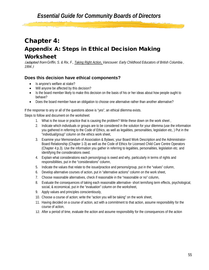## Chapter 4:

## Appendix A: Steps in Ethical Decision Making Worksheet

(adapted from *Griffin, S. & Rix, F., Taking Right Action, Vancouver: Early Childhood Educators of British Columbia , 1994.*)

## **Does this decision have ethical components?**

- Is anyone's welfare at stake?
- Will anyone be affected by this decision?
- Is the board member likely to make this decision on the basis of his or her ideas about how people ought to behave?
- Does the board member have an obligation to choose one alternative rather than another alternative?

If the response to any or all of the questions above is "yes", an ethical dilemma exists.

Steps to follow and document on the worksheet:

- 1. What is the issue or practice that is causing the problem? Write these down on the work sheet ,
- 2. Indicate which individuals or groups are to be considered in the solution for your dilemma (use the information you gathered in referring to the Code of Ethics, as well as legalities, personalities, legislation etc, ) Put in the "individual/group" column on the ethics work sheet,
- 3. Examine your Memorandum of Association & Bylaws; your Board Work Description and the Administrator-Board Relationship (Chapter 1-3) as well as the Code of Ethics for Licensed Child Care Centre Operators (Chapter 4:p.3). Use the information you gather in referring to legalities, personalities, legislation etc. and identifying the considerations owed.
- 4. Explain what considerations each person/group is owed and why, particularly in terms of rights and responsibilities, put in the "considerations" column,
- 5. Indicate the values that relate to the issue/practice and persons/group, put in the "values" column,
- 6. Develop alternative courses of action, put in "alternative actions" column on the work sheet,
- 7. Choose reasonable alternatives, check if reasonable in the "reasonable or no" column,
- 8. Evaluate the consequences of taking each reasonable alternative- short term/long term effects, psychological, social, & economical, put in the "evaluation" column on the worksheet,
- 9. Apply values and principles conscientiously,
- 10. Choose a course of action; write the "action you will be taking" on the work sheet,
- 11. Having decided on a course of action, act with a commitment to that action, assume responsibility for the course of action,
- 12. After a period of time, evaluate the action and assume responsibility for the consequences of the action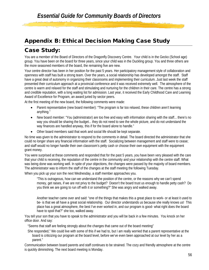## Appendix B: Ethical Decision Making Case Study

## Case Study:

You are a member of the Board of Directors of the Dragonfly Discovery Centre. Your child is in the Gecko (School age) group. You have been on the board for three years, since your child was in the Duckling group. You and three others are the more seasoned members of the board, the remaining five are new.

Your centre director has been in her position for the past 5 years. Her participatory management style of collaboration and openness with staff has built a strong team. Over the years, a social relationship has developed amongst the staff. Staff have a great deal of autonomy in organizing their classrooms and implementing their curriculum. Just last week the staff presented their curriculum approach at a provincial conference and it was received extremely well. The atmosphere of the centre is warm and relaxed for the staff and stimulating and nurturing for the children in their care. The centre has a strong and credible reputation, with a long waiting list for admission. Last year, it received the Early Childhood Care and Learning Award of Excellence for Program, an award juried by sector peers.

At the first meeting of the new board, the following comments were made:

- Parent representative (new board member): "The program is far too relaxed, these children aren't learning anything."
- New board member: "You (administrator) are too free and easy with information sharing with the staff... there's no way you should be sharing the budget... they do not need to see the whole picture, and do not understand the way finances are handled anyway, this if for the board alone to handle."
- Other board members said that work and social life should be kept separate.

No time was given to the administrator to respond to the comments in detail. The board directed the administrator that she could no longer share any financial information with the staff. Socializing between management and staff were to cease; and staff would no longer handle their own classroom's petty cash or choose their own equipment with the equipment grant money.

You were surprised at these comments and responded that for the past 5 years, you have been very pleased with the care that your child is receiving, the reputation of the centre in the community and your relationship with the centre staff. What was being done was working well. In spite of your objections, the changes were passed by the majority of board members. The administrator was to inform the staff of the changes at the staff meeting the following Tuesday.

When you pick up your son the next Wednesday, a staff member approaches you.

"This is outrageous, how can we understand the position of the centre, or the reasons why we can't spend money, get raises, if we are not privy to the budget? Doesn't the board trust us enough to handle petty cash? Do you think we are going to run off with it or something?" She was angry and walked away.

Another teacher came over and said: "one of the things that makes this a great place to work- or at least it used to be- is that we all have a great social relationship. Our director understands us because she really knows us! This place has a great atmosphere, the best I've ever worked in, and our program is good- what right does the board have to spoil that?" she too, walked away.

You tell your son that you have to speak to the administrator and you will be back in a few minutes. You knock on her office door. And say:

"Seems that staff are feeling strongly about the changes that came out of the board meeting"

She responded," We could live with some of this if we had to, but I am really worried that a parent representative at the board is criticizing our program at the board level, before we've even been approached at our level by her as a parent."

Communication between board parents and staff continues to be strained. The cozy and friendly atmosphere at the centre is quickly diminishing. The next board meeting is Monday.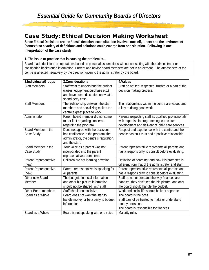## Case Study: Ethical Decision Making Worksheet

**Since Ethical Decisions are the "best" decision, each situation involves oneself, others and the environment (context) so a variety of definitions and solutions could emerge from one situation. Following is one interpretation of the case sturdy.**

#### **1. The issue or practice that is causing the problem is...**

Board made decisions on operations based on personal assumptions without consulting with the administrator or considering background information. Current and novice board members are not in agreement. The atmosphere of the centre is affected negatively by the direction given to the administrator by the board.

| 2.Individuals/Groups  | 3. Considerations                       | 4.Values                                              |
|-----------------------|-----------------------------------------|-------------------------------------------------------|
| Staff members         | Staff want to understand the budget     | Staff do not feel respected, trusted or a part of the |
|                       | (raises, equipment purchase etc.)       | decision making process.                              |
|                       | and have some discretion on what to     |                                                       |
|                       | spend petty cash.                       |                                                       |
| <b>Staff Members</b>  | The relationship between the staff      | The relationships within the centre are valued and    |
|                       | members and socializing makes the       | a key to doing good work                              |
|                       | centre a great place to work            |                                                       |
| Administrator         | Parent board member did not come        | Parents respecting staff as qualified professionals   |
|                       | to her first regarding concerns         | with expertise in programming, curriculum             |
|                       | regarding the program.                  | development and delivery of child care services       |
| Board Member in the   | Does not agree with the decisions,      | Respect and experience with the centre and the        |
| Case Study            | has confidence in the program, the      | people has built trust and a positive relationship    |
|                       | administrator, the centre's reputation, |                                                       |
|                       | and the staff.                          |                                                       |
| Board Member in the   | Your voice as a parent was not          | Parent representative represents all parents and      |
| Case Study            | incorporated into the parent            | has a responsibility to consult before evaluating.    |
|                       | representative's comments               |                                                       |
| Parent Representative | Children are not learning anything      | Definition of "learning" and how it is promoted is    |
| (new)                 |                                         | different from that of the administrator and staff.   |
| Parent Representative | Parent representative is speaking for   | Parent representative represents all parents and      |
| (new)                 | all parents                             | has a responsibility to consult before evaluating.    |
| Other new Board       | The budget, financial information,      | Staff do not understand the way finances are          |
| Member                | and other big picture information       | handled, they don't see the big picture; and only     |
|                       | should not be shared with staff         | the board should handle the budget.                   |
| Other Board members   | Staff should not socialize              | Work and social life should be kept separate          |
| Board as a Whole      | Board does not want the staff to        | The board is the boss                                 |
|                       | handle money or be a party to budget    | Staff cannot be trusted to make or understand         |
|                       | information.                            | money decisions                                       |
|                       |                                         | The board is responsible for finances                 |
| Board as a Whole      | Board is not speaking with one voice    | Majority rules                                        |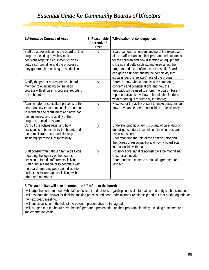| <b>5. Alternative Courses of Action</b>                                                                                                                                                                                                                                                         | 6. Reasonable        | 7. Evaluation of consequences                                                                                                                                                                                                                                                                                                                                       |
|-------------------------------------------------------------------------------------------------------------------------------------------------------------------------------------------------------------------------------------------------------------------------------------------------|----------------------|---------------------------------------------------------------------------------------------------------------------------------------------------------------------------------------------------------------------------------------------------------------------------------------------------------------------------------------------------------------------|
|                                                                                                                                                                                                                                                                                                 | Alternative?<br>Y/N? |                                                                                                                                                                                                                                                                                                                                                                     |
| Staff do a presentation to the board on their<br>program including how they make<br>decisions regarding equipment choices,<br>petty cash spending and the processes<br>they go through in making those decisions                                                                                | y                    | Board can gain an understanding of the expertise<br>of the staff in planning their program and outcomes<br>for the children and how discretion on equipment<br>choices and petty cash expenditures affect the<br>program and the confidence of the staff. Board<br>can gain an understanding the complexity that<br>exists under the "relaxed' face of the program. |
| Clarify the parent representative board<br>member role, including consultation<br>process with all parents process; reporting<br>to the board:                                                                                                                                                  | y                    | Parents know who to contact with comments,<br>concerns and considerations and how the<br>feedback will be used to inform the board. Parent<br>representatives know how to handle this feedback;<br>what reporting is required by the board;                                                                                                                         |
| Administrator or consultant presents to the<br>board on how team relationships contribute<br>to retention and recruitment and how that<br>has an impact on the quality of the<br>program. Include research.                                                                                     | y                    | Respect for the ability of staff to make decisions on<br>how they handle peer relationships professionally.                                                                                                                                                                                                                                                         |
| Consult the bylaws regarding how<br>decisions can be made by the board; and<br>the administrator-board relationship<br>including operations responsibility                                                                                                                                      | y                    | Understanding fiduciary trust- duty of care, duty of<br>due diligence; duty to avoid conflict of interest and<br>risk assessment.<br>Understanding the role of the administrator and<br>their areas of responsibility and how a board acts<br>in relationship with that.                                                                                            |
| Staff consult with Labour Standards Code<br>regarding the legality of the board's<br>decision to forbid staff from socializing.<br>Staff bring in a mediator to negotiate with<br>the board regarding petty cash discretion;<br>budget disclosure; and socializing with<br>other staff members. | y                    | Possibly adversarial relationship will be magnified.<br>Cost for a mediator.<br>Board and staff come to a mutual agreement and<br>respect.                                                                                                                                                                                                                          |

#### **8. The action I/we will take is: (note: the "I" refers to the board)**

I will urge the board to meet with staff to discuss the decisions regarding financial information and petty cash discretion. I will research the bylaws for decision making process and board-administrator relationship and put that on the agenda for the next board meeting.

I will put discussion of the role of the parent representative on the agenda.

I will suggest that the board have the staff prepare a presentation on their program planning; including outcomes and implementation costs.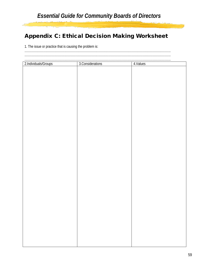## **Appendix C: Ethical Decision Making Worksheet**

1. The issue or practice that is causing the problem is:

| 2.Individuals/Groups | 3. Considerations | 4. Values |
|----------------------|-------------------|-----------|
|                      |                   |           |
|                      |                   |           |
|                      |                   |           |
|                      |                   |           |
|                      |                   |           |
|                      |                   |           |
|                      |                   |           |
|                      |                   |           |
|                      |                   |           |
|                      |                   |           |
|                      |                   |           |
|                      |                   |           |
|                      |                   |           |
|                      |                   |           |
|                      |                   |           |
|                      |                   |           |
|                      |                   |           |
|                      |                   |           |
|                      |                   |           |
|                      |                   |           |
|                      |                   |           |
|                      |                   |           |
|                      |                   |           |
|                      |                   |           |
|                      |                   |           |
|                      |                   |           |
|                      |                   |           |
|                      |                   |           |
|                      |                   |           |
|                      |                   |           |
|                      |                   |           |
|                      |                   |           |